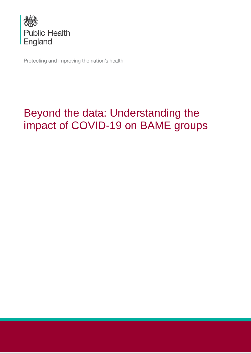

Protecting and improving the nation's health

# Beyond the data: Understanding the impact of COVID-19 on BAME groups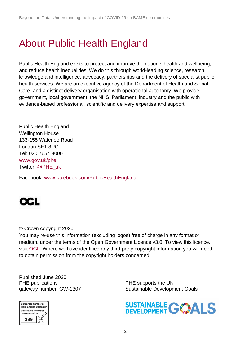# About Public Health England

Public Health England exists to protect and improve the nation's health and wellbeing, and reduce health inequalities. We do this through world-leading science, research, knowledge and intelligence, advocacy, partnerships and the delivery of specialist public health services. We are an executive agency of the Department of Health and Social Care, and a distinct delivery organisation with operational autonomy. We provide government, local government, the NHS, Parliament, industry and the public with evidence-based professional, scientific and delivery expertise and support.

Public Health England Wellington House 133-155 Waterloo Road London SE1 8UG Tel: 020 7654 8000 [www.gov.uk/phe](http://www.gov.uk/phe) Twitter: [@PHE\\_uk](https://twitter.com/PHE_uk)

Facebook: [www.facebook.com/PublicHealthEngland](http://www.facebook.com/PublicHealthEngland)



#### © Crown copyright 2020

You may re-use this information (excluding logos) free of charge in any format or medium, under the terms of the Open Government Licence v3.0. To view this licence, visit [OGL.](https://www.nationalarchives.gov.uk/doc/open-government-licence/version/3/) Where we have identified any third-party copyright information you will need to obtain permission from the copyright holders concerned.

Published June 2020 PHE publications **PHE** supports the UN



gateway number: GW-1307 Sustainable Development Goals

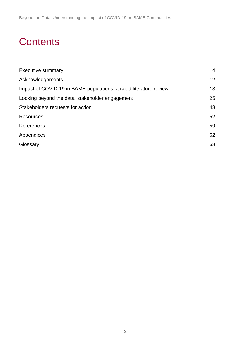# **Contents**

| <b>Executive summary</b>                                          | 4               |
|-------------------------------------------------------------------|-----------------|
| Acknowledgements                                                  | 12 <sup>2</sup> |
| Impact of COVID-19 in BAME populations: a rapid literature review | 13              |
| Looking beyond the data: stakeholder engagement                   | 25              |
| Stakeholders requests for action                                  | 48              |
| <b>Resources</b>                                                  | 52              |
| References                                                        | 59              |
| Appendices                                                        | 62              |
| Glossary                                                          | 68              |
|                                                                   |                 |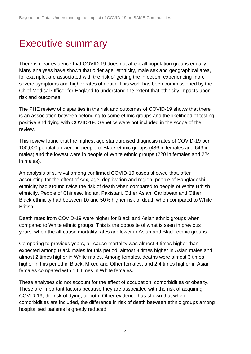# <span id="page-3-0"></span>Executive summary

There is clear evidence that COVID-19 does not affect all population groups equally. Many analyses have shown that older age, ethnicity, male sex and geographical area, for example, are associated with the risk of getting the infection, experiencing more severe symptoms and higher rates of death. This work has been commissioned by the Chief Medical Officer for England to understand the extent that ethnicity impacts upon risk and outcomes.

The PHE review of disparities in the risk and outcomes of COVID-19 shows that there is an association between belonging to some ethnic groups and the likelihood of testing positive and dying with COVID-19. Genetics were not included in the scope of the review.

This review found that the highest age standardised diagnosis rates of COVID-19 per 100,000 population were in people of Black ethnic groups (486 in females and 649 in males) and the lowest were in people of White ethnic groups (220 in females and 224 in males).

An analysis of survival among confirmed COVID-19 cases showed that, after accounting for the effect of sex, age, deprivation and region, people of Bangladeshi ethnicity had around twice the risk of death when compared to people of White British ethnicity. People of Chinese, Indian, Pakistani, Other Asian, Caribbean and Other Black ethnicity had between 10 and 50% higher risk of death when compared to White British.

Death rates from COVID-19 were higher for Black and Asian ethnic groups when compared to White ethnic groups. This is the opposite of what is seen in previous years, when the all-cause mortality rates are lower in Asian and Black ethnic groups.

Comparing to previous years, all-cause mortality was almost 4 times higher than expected among Black males for this period, almost 3 times higher in Asian males and almost 2 times higher in White males. Among females, deaths were almost 3 times higher in this period in Black, Mixed and Other females, and 2.4 times higher in Asian females compared with 1.6 times in White females.

These analyses did not account for the effect of occupation, comorbidities or obesity. These are important factors because they are associated with the risk of acquiring COVID-19, the risk of dying, or both. Other evidence has shown that when comorbidities are included, the difference in risk of death between ethnic groups among hospitalised patients is greatly reduced.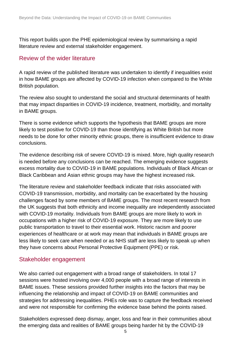This report builds upon the PHE epidemiological review by summarising a rapid literature review and external stakeholder engagement.

## Review of the wider literature

A rapid review of the published literature was undertaken to identify if inequalities exist in how BAME groups are affected by COVID-19 infection when compared to the White British population.

The review also sought to understand the social and structural determinants of health that may impact disparities in COVID-19 incidence, treatment, morbidity, and mortality in BAME groups.

There is some evidence which supports the hypothesis that BAME groups are more likely to test positive for COVID-19 than those identifying as White British but more needs to be done for other minority ethnic groups, there is insufficient evidence to draw conclusions.

The evidence describing risk of severe COVID-19 is mixed. More, high quality research is needed before any conclusions can be reached. The emerging evidence suggests excess mortality due to COVID-19 in BAME populations. Individuals of Black African or Black Caribbean and Asian ethnic groups may have the highest increased risk.

The literature review and stakeholder feedback indicate that risks associated with COVID-19 transmission, morbidity, and mortality can be exacerbated by the housing challenges faced by some members of BAME groups. The most recent research from the UK suggests that both ethnicity and income inequality are independently associated with COVID-19 mortality. Individuals from BAME groups are more likely to work in occupations with a higher risk of COVID-19 exposure. They are more likely to use public transportation to travel to their essential work. Historic racism and poorer experiences of healthcare or at work may mean that individuals in BAME groups are less likely to seek care when needed or as NHS staff are less likely to speak up when they have concerns about Personal Protective Equipment (PPE) or risk.

## Stakeholder engagement

We also carried out engagement with a broad range of stakeholders. In total 17 sessions were hosted involving over 4,000 people with a broad range of interests in BAME issues. These sessions provided further insights into the factors that may be influencing the relationship and impact of COVID-19 on BAME communities and strategies for addressing inequalities. PHEs role was to capture the feedback received and were not responsible for confirming the evidence base behind the points raised.

Stakeholders expressed deep dismay, anger, loss and fear in their communities about the emerging data and realities of BAME groups being harder hit by the COVID-19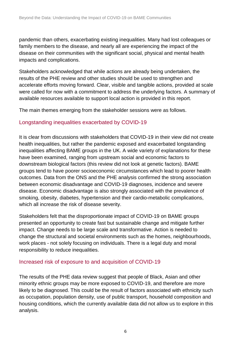pandemic than others, exacerbating existing inequalities. Many had lost colleagues or family members to the disease, and nearly all are experiencing the impact of the disease on their communities with the significant social, physical and mental health impacts and complications.

Stakeholders acknowledged that while actions are already being undertaken, the results of the PHE review and other studies should be used to strengthen and accelerate efforts moving forward. Clear, visible and tangible actions, provided at scale were called for now with a commitment to address the underlying factors. A summary of available resources available to support local action is provided in this report.

The main themes emerging from the stakeholder sessions were as follows.

### Longstanding inequalities exacerbated by COVID-19

It is clear from discussions with stakeholders that COVID-19 in their view did not create health inequalities, but rather the pandemic exposed and exacerbated longstanding inequalities affecting BAME groups in the UK. A wide variety of explanations for these have been examined, ranging from upstream social and economic factors to downstream biological factors (this review did not look at genetic factors). BAME groups tend to have poorer socioeconomic circumstances which [lead to poorer health](https://www.health.org.uk/publications/what-makes-us-healthy)  [outcomes.](https://www.health.org.uk/publications/what-makes-us-healthy) Data from the ONS and the PHE analysis confirmed the strong association between economic disadvantage and COVID-19 diagnoses, incidence and severe disease. Economic disadvantage is also strongly associated with the prevalence of smoking, obesity, diabetes, hypertension and their cardio-metabolic complications, which all increase the risk of disease severity.

Stakeholders felt that the disproportionate impact of COVID-19 on BAME groups presented an opportunity to create fast but sustainable change and mitigate further impact. Change needs to be large scale and transformative. Action is needed to change the structural and societal environments such as the homes, neighbourhoods, work places - not solely focusing on individuals. There is a legal duty and moral responsibility to reduce inequalities.

#### Increased risk of exposure to and acquisition of COVID-19

The results of the PHE data review suggest that people of Black, Asian and other minority ethnic groups may be more exposed to COVID-19, and therefore are more likely to be diagnosed. This could be the result of factors associated with ethnicity such as occupation, population density, use of public transport, household composition and housing conditions, which the currently available data did not allow us to explore in this analysis.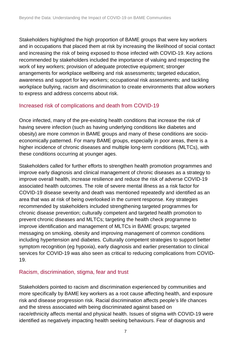Stakeholders highlighted the high proportion of BAME groups that were key workers and in occupations that placed them at risk by increasing the likelihood of social contact and increasing the risk of being exposed to those infected with COVID-19. Key actions recommended by stakeholders included the importance of valuing and respecting the work of key workers; provision of adequate protective equipment; stronger arrangements for workplace wellbeing and risk assessments; targeted education, awareness and support for key workers; occupational risk assessments; and tackling workplace bullying, racism and discrimination to create environments that allow workers to express and address concerns about risk.

#### Increased risk of complications and death from COVID-19

Once infected, many of the pre-existing health conditions that increase the risk of having severe infection (such as having underlying conditions like diabetes and obesity) are more common in BAME groups and many of these conditions are socioeconomically patterned. For many BAME groups, especially in poor areas, there is a higher incidence of chronic diseases and multiple long-term conditions (MLTCs), with these conditions occurring at younger ages.

Stakeholders called for further efforts to strengthen health promotion programmes and improve early diagnosis and clinical management of chronic diseases as a strategy to improve overall health, increase resilience and reduce the risk of adverse COVID-19 associated health outcomes. The role of severe mental illness as a risk factor for COVID-19 disease severity and death was mentioned repeatedly and identified as an area that was at risk of being overlooked in the current response. Key strategies recommended by stakeholders included strengthening targeted programmes for chronic disease prevention; culturally competent and targeted health promotion to prevent chronic diseases and MLTCs; targeting the health check programme to improve identification and management of MLTCs in BAME groups; targeted messaging on smoking, obesity and improving management of common conditions including hypertension and diabetes. Culturally competent strategies to support better symptom recognition (eg hypoxia), early diagnosis and earlier presentation to clinical services for COVID-19 was also seen as critical to reducing complications from COVID-19.

#### Racism, discrimination, stigma, fear and trust

Stakeholders pointed to racism and discrimination experienced by communities and more specifically by BAME key workers as a root cause affecting health, and exposure risk and disease progression risk. Racial discrimination affects people's life chances and the stress associated with being discriminated against based on race/ethnicity affects mental and physical health. Issues of stigma with COVID-19 were identified as negatively impacting health seeking behaviours. Fear of diagnosis and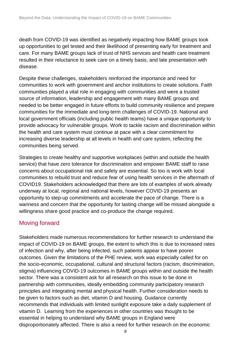death from COVID-19 was identified as negatively impacting how BAME groups took up opportunities to get tested and their likelihood of presenting early for treatment and care. For many BAME groups lack of trust of NHS services and health care treatment resulted in their reluctance to seek care on a timely basis, and late presentation with disease.

Despite these challenges, stakeholders reinforced the importance and need for communities to work with government and anchor institutions to create solutions. Faith communities played a vital role in engaging with communities and were a trusted source of information, leadership and engagement with many BAME groups and needed to be better engaged in future efforts to build community resilience and prepare communities for the immediate and long-term challenges of COVID-19. National and local government officials (including public health teams) have a unique opportunity to provide advocacy for vulnerable groups. Work to tackle racism and discrimination within the health and care system must continue at pace with a clear commitment for increasing diverse leadership at all levels in health and care system, reflecting the communities being served.

Strategies to create healthy and supportive workplaces (within and outside the health service) that have zero tolerance for discrimination and empower BAME staff to raise concerns about occupational risk and safety are essential. So too is work with local communities to rebuild trust and reduce fear of using health services in the aftermath of COVID19. Stakeholders acknowledged that there are lots of examples of work already underway at local, regional and national levels, however COVID-19 presents an opportunity to step-up commitments and accelerate the pace of change. There is a wariness and concern that the opportunity for lasting change will be missed alongside a willingness share good practice and co-produce the change required.

## Moving forward

Stakeholders made numerous recommendations for further research to understand the impact of COVID-19 on BAME groups, the extent to which this is due to increased rates of infection and why, after being infected, such patients appear to have poorer outcomes. Given the limitations of the PHE review, work was especially called for on the socio-economic, occupational, cultural and structural factors (racism, discrimination, stigma) influencing COVID-19 outcomes in BAME groups within and outside the health sector. There was a consistent ask for all research on this issue to be done in partnership with communities, ideally embedding community participatory research principles and integrating mental and physical health. Further consideration needs to be given to factors such as diet, vitamin D and housing. Guidance currently recommends that individuals with limited sunlight exposure take a daily supplement of vitamin D. Learning from the experiences in other countries was thought to be essential in helping to understand why BAME groups in England were disproportionately affected. There is also a need for further research on the economic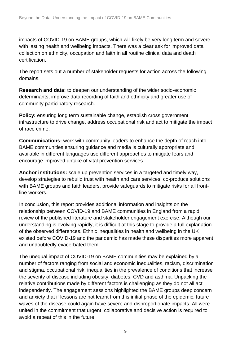impacts of COVID-19 on BAME groups, which will likely be very long term and severe, with lasting health and wellbeing impacts. There was a clear ask for improved data collection on ethnicity, occupation and faith in all routine clinical data and death certification.

The report sets out a number of stakeholder requests for action across the following domains.

**Research and data:** to deepen our understanding of the wider socio-economic determinants, improve data recording of faith and ethnicity and greater use of community participatory research.

**Policy:** ensuring long term sustainable change, establish cross government infrastructure to drive change, address occupational risk and act to mitigate the impact of race crime.

**Communications:** work with community leaders to enhance the depth of reach into BAME communities ensuring guidance and media is culturally appropriate and available in different languages use different approaches to mitigate fears and encourage improved uptake of vital prevention services.

**Anchor institutions:** scale up prevention services in a targeted and timely way, develop strategies to rebuild trust with health and care services, co-produce solutions with BAME groups and faith leaders, provide safeguards to mitigate risks for all frontline workers.

In conclusion, this report provides additional information and insights on the relationship between COVID-19 and BAME communities in England from a rapid review of the published literature and stakeholder engagement exercise. Although our understanding is evolving rapidly, it is difficult at this stage to provide a full explanation of the observed differences. Ethnic inequalities in health and wellbeing in the UK existed before COVID-19 and the pandemic has made these disparities more apparent and undoubtedly exacerbated them.

The unequal impact of COVID-19 on BAME communities may be explained by a number of factors ranging from social and economic inequalities, racism, discrimination and stigma, occupational risk, inequalities in the prevalence of conditions that increase the severity of disease including obesity, diabetes, CVD and asthma. Unpacking the relative contributions made by different factors is challenging as they do not all act independently. The engagement sessions highlighted the BAME groups deep concern and anxiety that if lessons are not learnt from this initial phase of the epidemic, future waves of the disease could again have severe and disproportionate impacts. All were united in the commitment that urgent, collaborative and decisive action is required to avoid a repeat of this in the future.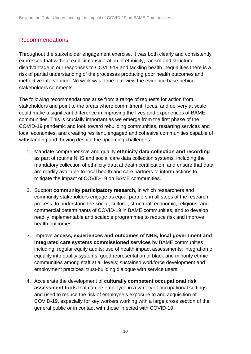# Recommendations

Throughout the stakeholder engagement exercise, it was both clearly and consistently expressed that without explicit consideration of ethnicity, racism and structural disadvantage in our responses to COVID-19 and tackling health inequalities there is a risk of partial understanding of the processes producing poor health outcomes and ineffective intervention. No work was done to review the evidence base behind stakeholders comments.

The following recommendations arise from a range of requests for action from stakeholders and point to the areas where commitment, focus, and delivery at scale could make a significant difference in improving the lives and experiences of BAME communities. This is crucially important as we emerge from the first phase of the COVID-19 pandemic and look toward rebuilding communities, restarting services and local economies, and creating resilient, engaged and cohesive communities capable of withstanding and thriving despite the upcoming challenges.

- 1. Mandate comprehensive and quality **ethnicity data collection and recording** as part of routine NHS and social care data collection systems, including the mandatory collection of ethnicity data at death certification, and ensure that data are readily available to local health and care partners to inform actions to mitigate the impact of COVID-19 on BAME communities.
- 2. Support **community participatory research**, in which researchers and community stakeholders engage as equal partners in all steps of the research process, to understand the social, cultural, structural, economic, religious, and commercial determinants of COVID-19 in BAME communities, and to develop readily implementable and scalable programmes to reduce risk and improve health outcomes.
- 3. Improve **access, experiences and outcomes of NHS, local government and integrated care systems commissioned services** by BAME communities including: regular equity audits; use of health impact assessments; integration of equality into quality systems; good representation of black and minority ethnic communities among staff at all levels; sustained workforce development and employment practices; trust-building dialogue with service users.
- 4. Accelerate the development of **culturally competent occupational risk assessment tools** that can be employed in a variety of occupational settings and used to reduce the risk of employee's exposure to and acquisition of COVID-19, especially for key workers working with a large cross section of the general public or in contact with those infected with COVID-19.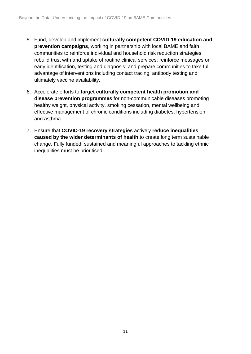- 5. Fund, develop and implement **culturally competent COVID-19 education and prevention campaigns**, working in partnership with local BAME and faith communities to reinforce individual and household risk reduction strategies; rebuild trust with and uptake of routine clinical services; reinforce messages on early identification, testing and diagnosis; and prepare communities to take full advantage of interventions including contact tracing, antibody testing and ultimately vaccine availability.
- 6. Accelerate efforts to **target culturally competent health promotion and disease prevention programmes** for non-communicable diseases promoting healthy weight, physical activity, smoking cessation, mental wellbeing and effective management of chronic conditions including diabetes, hypertension and asthma.
- 7. Ensure that **COVID-19 recovery strategies** actively **reduce inequalities caused by the wider determinants of health** to create long term sustainable change. Fully funded, sustained and meaningful approaches to tackling ethnic inequalities must be prioritised.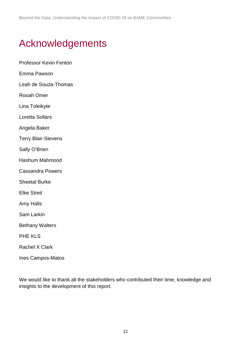# <span id="page-11-0"></span>Acknowledgements

Professor Kevin Fenton Emma Pawson Leah de Souza-Thomas Rooah Omer Lina Toleikyte Loretta Sollars Angela Baker Terry Blair-Stevens Sally O'Brien Hashum Mahmood Cassandra Powers Sheetal Burke Elke Streit Amy Halls Sam Larkin Bethany Walters PHE KLS Rachel X Clark Ines Campos-Matos

We would like to thank all the stakeholders who contributed their time, knowledge and insights to the development of this report.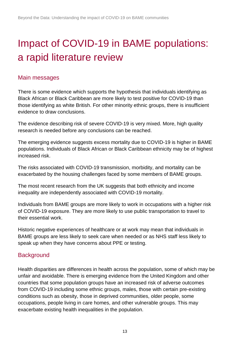# <span id="page-12-0"></span>Impact of COVID-19 in BAME populations: a rapid literature review

## Main messages

There is some evidence which supports the hypothesis that individuals identifying as Black African or Black Caribbean are more likely to test positive for COVID-19 than those identifying as white British. For other minority ethnic groups, there is insufficient evidence to draw conclusions.

The evidence describing risk of severe COVID-19 is very mixed. More, high quality research is needed before any conclusions can be reached.

The emerging evidence suggests excess mortality due to COVID-19 is higher in BAME populations. Individuals of Black African or Black Caribbean ethnicity may be of highest increased risk.

The risks associated with COVID-19 transmission, morbidity, and mortality can be exacerbated by the housing challenges faced by some members of BAME groups.

The most recent research from the UK suggests that both ethnicity and income inequality are independently associated with COVID-19 mortality.

Individuals from BAME groups are more likely to work in occupations with a higher risk of COVID-19 exposure. They are more likely to use public transportation to travel to their essential work.

Historic negative experiences of healthcare or at work may mean that individuals in BAME groups are less likely to seek care when needed or as NHS staff less likely to speak up when they have concerns about PPE or testing.

## **Background**

Health disparities are differences in health across the population, some of which may be unfair and avoidable. There is emerging evidence from the United Kingdom and other countries that some population groups have an increased risk of adverse outcomes from COVID-19 including some ethnic groups, males, those with certain pre-existing conditions such as obesity, those in deprived communities, older people, some occupations, people living in care homes, and other vulnerable groups. This may exacerbate existing health inequalities in the population.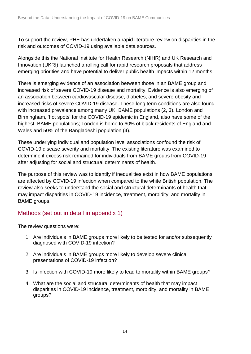To support the review, PHE has undertaken a rapid literature review on disparities in the risk and outcomes of COVID-19 using available data sources.

Alongside this the National Institute for Health Research (NIHR) and UK Research and Innovation (UKRI) launched a rolling call for rapid research proposals that address emerging priorities and have potential to deliver public health impacts within 12 months.

There is emerging evidence of an association between those in an BAME group and increased risk of severe COVID-19 disease and mortality. Evidence is also emerging of an association between cardiovascular disease, diabetes, and severe obesity and increased risks of severe COVID-19 disease. These long term conditions are also found with increased prevalence among many UK BAME populations (2, 3). London and Birmingham, 'hot spots' for the COVID-19 epidemic in England, also have some of the highest BAME populations; London is home to 60% of black residents of England and Wales and 50% of the Bangladeshi population (4).

These underlying individual and population level associations confound the risk of COVID-19 disease severity and mortality. The existing literature was examined to determine if excess risk remained for individuals from BAME groups from COVID-19 after adjusting for social and structural determinants of health.

The purpose of this review was to identify if inequalities exist in how BAME populations are affected by COVID-19 infection when compared to the white British population. The review also seeks to understand the social and structural determinants of health that may impact disparities in COVID-19 incidence, treatment, morbidity, and mortality in BAME groups.

## Methods (set out in detail in appendix 1)

The review questions were:

- 1. Are individuals in BAME groups more likely to be tested for and/or subsequently diagnosed with COVID-19 infection?
- 2. Are individuals in BAME groups more likely to develop severe clinical presentations of COVID-19 infection?
- 3. Is infection with COVID-19 more likely to lead to mortality within BAME groups?
- 4. What are the social and structural determinants of health that may impact disparities in COVID-19 incidence, treatment, morbidity, and mortality in BAME groups?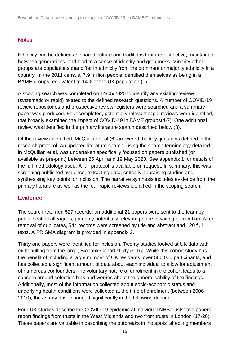#### **Notes**

Ethnicity can be defined as shared culture and traditions that are distinctive, maintained between generations, and lead to a sense of identity and groupness. Minority ethnic groups are populations that differ in ethnicity from the dominant or majority ethnicity in a country. In the 2011 census, 7.9 million people identified themselves as being in a BAME groups equivalent to 14% of the UK population (1).

A scoping search was completed on 14/05/2020 to identify any existing reviews (systematic or rapid) related to the defined research questions. A number of COVID-19 review repositories and prospective review registers were searched and a summary paper was produced. Four completed, potentially relevant rapid reviews were identified, that broadly examined the impact of COVID-19 in BAME groups(4-7). One additional review was identified in the primary literature search described below (8).

Of the reviews identified, McQuillan et al (6) answered the key questions defined in the research protocol. An updated literature search, using the search terminology detailed in McQuillan et al, was undertaken specifically focused on papers published (or available as pre-print) between 25 April and 19 May 2020. See appendix 1 for details of the full methodology used. A full protocol is available on request. In summary, this was screening published evidence, extracting data, critically appraising studies and synthesising key points for inclusion. The narrative synthesis includes evidence from the primary literature as well as the four rapid reviews identified in the scoping search.

#### **Evidence**

The search returned 527 records; an additional 21 papers were sent to the team by public health colleagues, primarily potentially relevant papers awaiting publication. After removal of duplicates, 544 records were screened by title and abstract and 120 full texts. A PRISMA diagram is provided in appendix 2.

Thirty-one papers were identified for inclusion. Twenty studies looked at UK data with eight pulling from the large, Biobank Cohort study (9-16). While this cohort study has the benefit of including a large number of UK residents, over 500,000 participants, and has collected a significant amount of data about each individual to allow for adjustment of numerous confounders, the voluntary nature of enrolment in the cohort leads to a concern around selection bias and worries about the generalisability of the findings. Additionally, most of the information collected about socio-economic status and underlying health conditions were collected at the time of enrolment (between 2006- 2010); these may have changed significantly in the following decade.

Four UK studies describe the COVID-19 epidemic at individual NHS trusts: two papers report findings from trusts in the West Midlands and two from trusts in London (17-20). These papers are valuable in describing the outbreaks in 'hotspots' affecting members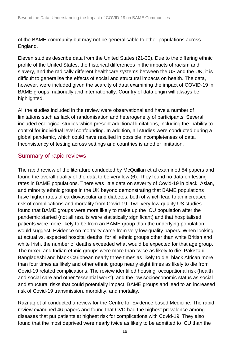of the BAME community but may not be generalisable to other populations across England.

Eleven studies describe data from the United States (21-30). Due to the differing ethnic profile of the United States, the historical differences in the impacts of racism and slavery, and the radically different healthcare systems between the US and the UK, it is difficult to generalise the effects of social and structural impacts on health. The data, however, were included given the scarcity of data examining the impact of COVID-19 in BAME groups, nationally and internationally. Country of data origin will always be highlighted.

All the studies included in the review were observational and have a number of limitations such as lack of randomisation and heterogeneity of participants. Several included ecological studies which present additional limitations, including the inability to control for individual level confounding. In addition, all studies were conducted during a global pandemic, which could have resulted in possible incompleteness of data. Inconsistency of testing across settings and countries is another limitation.

## Summary of rapid reviews

The rapid review of the literature conducted by McQuillan et al examined 54 papers and found the overall quality of the data to be very low (6). They found no data on testing rates in BAME populations. There was little data on severity of Covid-19 in black, Asian, and minority ethnic groups in the UK beyond demonstrating that BAME populations have higher rates of cardiovascular and diabetes, both of which lead to an increased risk of complications and mortality from Covid-19. Two very low-quality US studies found that BAME groups were more likely to make up the ICU population after the pandemic started (not all results were statistically significant) and that hospitalised patients were more likely to be from an BAME group than the underlying population would suggest. Evidence on mortality came from very low-quality papers. When looking at actual vs. expected hospital deaths, for all ethnic groups other than white British and white Irish, the number of deaths exceeded what would be expected for that age group. The mixed and Indian ethnic groups were more than twice as likely to die; Pakistani, Bangladeshi and black Caribbean nearly three times as likely to die, black African more than four times as likely and other ethnic group nearly eight times as likely to die from Covid-19 related complications. The review identified housing, occupational risk (health and social care and other "essential work"), and the low socioeconomic status as social and structural risks that could potentially impact BAME groups and lead to an increased risk of Covid-19 transmission, morbidity, and mortality.

Raznaq et al conducted a review for the Centre for Evidence based Medicine. The rapid review examined 46 papers and found that CVD had the highest prevalence among diseases that put patients at highest risk for complications with Covid-19. They also found that the most deprived were nearly twice as likely to be admitted to ICU than the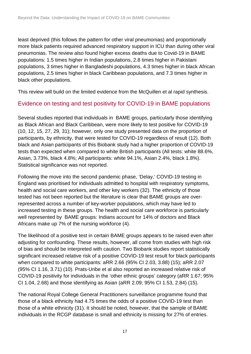least deprived (this follows the pattern for other viral pneumonias) and proportionally more black patients required advanced respiratory support in ICU than during other viral pneumonias. The review also found higher excess deaths due to Covid-19 in BAME populations: 1.5 times higher in Indian populations, 2.8 times higher in Pakistani populations, 3 times higher in Bangladeshi populations, 4.3 times higher in black African populations, 2.5 times higher in black Caribbean populations, and 7.3 times higher in black other populations.

This review will build on the limited evidence from the McQuillen et al rapid synthesis.

### Evidence on testing and test positivity for COVID-19 in BAME populations

Several studies reported that individuals in BAME groups, particularly those identifying as Black African and Black Caribbean, were more likely to test positive for COVID-19 (10, 12, 15, 27, 29, 31); however, only one study presented data on the proportion of participants, by ethnicity, that were tested for COVID-19 regardless of result (12). Both black and Asian participants of this Biobank study had a higher proportion of COVID-19 tests than expected when compared to white British participants (All tests: white 88.6%, Asian, 3.73%, black 4.8%; All participants: white 94.1%, Asian 2.4%, black 1.8%). Statistical significance was not reported.

Following the move into the second pandemic phase, 'Delay,' COVID-19 testing in England was prioritised for individuals admitted to hospital with respiratory symptoms, health and social care workers, and other key workers (32). The ethnicity of those tested has not been reported but the literature is clear that BAME groups are overrepresented across a number of key-worker populations, which may have led to increased testing in these groups. The health and social care workforce is particularly well represented by BAME groups: Indians account for 14% of doctors and Black Africans make up 7% of the nursing workforce (4).

The likelihood of a positive test in certain BAME groups appears to be raised even after adjusting for confounding. These results, however, all come from studies with high risk of bias and should be interpreted with caution. Two Biobank studies report statistically significant increased relative risk of a positive COVID-19 test result for black participants when compared to white participants: aRR 2.66 (95% CI 2.03, 3.88) (15); aRR 2.07 (95% CI 1.16, 3.71) (10). Prats-Uribe et al also reported an increased relative risk of COVID-19 positivity for individuals in the 'other ethnic groups' category (aRR 1.67; 95% CI 1.04, 2.68) and those identifying as Asian (aRR 2.09; 95% CI 1.53, 2.84) (15).

The national Royal College General Practitioners surveillance programme found that those of a black ethnicity had 4.75 times the odds of a positive COVID-19 test than those of a white ethnicity (31). It should be noted, however, that the sample of BAME individuals in the RCGP database is small and ethnicity is missing for 27% of entries.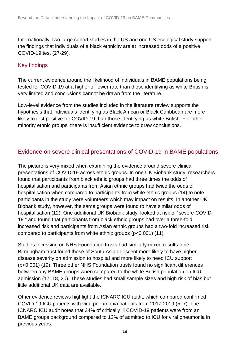Internationally, two large cohort studies in the US and one US ecological study support the findings that individuals of a black ethnicity are at increased odds of a positive COVID-19 test (27-29).

### Key findings

The current evidence around the likelihood of individuals in BAME populations being tested for COVID-19 at a higher or lower rate than those identifying as white British is very limited and conclusions cannot be drawn from the literature.

Low-level evidence from the studies included in the literature review supports the hypothesis that individuals identifying as Black African or Black Caribbean are more likely to test positive for COVID-19 than those identifying as white British. For other minority ethnic groups, there is insufficient evidence to draw conclusions.

## Evidence on severe clinical presentations of COVID-19 in BAME populations

The picture is very mixed when examining the evidence around severe clinical presentations of COVID-19 across ethnic groups. In one UK Biobank study, researchers found that participants from black ethnic groups had three times the odds of hospitalisation and participants from Asian ethnic groups had twice the odds of hospitalisation when compared to participants from white ethnic groups (14) to note participants in the study were volunteers which may impact on results. In another UK Biobank study, however, the same groups were found to have similar odds of hospitalisation (12). One additional UK Biobank study, looked at risk of "severe COVID-19 " and found that participants from black ethnic groups had over a three-fold increased risk and participants from Asian ethnic groups had a two-fold increased risk compared to participants from white ethnic groups (p<0.001) (11).

Studies focussing on NHS Foundation trusts had similarly mixed results: one Birmingham trust found those of South Asian descent more likely to have higher disease severity on admission to hospital and more likely to need ICU support (p<0.001) (19). Three other NHS Foundation trusts found no significant differences between any BAME groups when compared to the white British population on ICU admission (17, 18, 20). These studies had small sample sizes and high risk of bias but little additional UK data are available.

Other evidence reviews highlight the ICNARC ICU audit, which compared confirmed COVID-19 ICU patients with viral pneumonia patients from 2017-2019 (5, 7). The ICNARC ICU audit notes that 34% of critically ill COVID-19 patients were from an BAME groups background compared to 12% of admitted to ICU for viral pneumonia in previous years.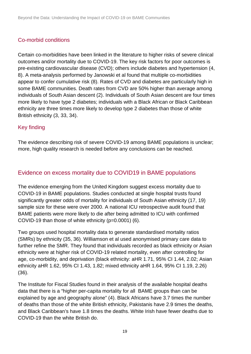### Co-morbid conditions

Certain co-morbidities have been linked in the literature to higher risks of severe clinical outcomes and/or mortality due to COVID-19. The key risk factors for poor outcomes is pre-existing cardiovascular disease (CVD); others include diabetes and hypertension (4, 8). A meta-analysis performed by Janowski et al found that multiple co-morbidities appear to confer cumulative risk (8). Rates of CVD and diabetes are particularly high in some BAME communities. Death rates from CVD are 50% higher than average among individuals of South Asian descent (2). Individuals of South Asian descent are four times more likely to have type 2 diabetes; individuals with a Black African or Black Caribbean ethnicity are three times more likely to develop type 2 diabetes than those of white British ethnicity (3, 33, 34).

#### Key finding

The evidence describing risk of severe COVID-19 among BAME populations is unclear; more, high quality research is needed before any conclusions can be reached.

# Evidence on excess mortality due to COVID19 in BAME populations

The evidence emerging from the United Kingdom suggest excess mortality due to COVID-19 in BAME populations. Studies conducted at single hospital trusts found significantly greater odds of mortality for individuals of South Asian ethnicity (17, 19) sample size for these were over 2000. A national ICU retrospective audit found that BAME patients were more likely to die after being admitted to ICU with confirmed COVID-19 than those of white ethnicity (p=0.0001) (6).

Two groups used hospital mortality data to generate standardised mortality ratios (SMRs) by ethnicity (35, 36). Williamson et al used anonymised primary care data to further refine the SMR. They found that individuals recorded as black ethnicity or Asian ethnicity were at higher risk of COVID-19 related mortality, even after controlling for age, co-morbidity, and deprivation (black ethnicity: aHR 1.71, 95% CI 1.44, 2.02; Asian ethnicity aHR 1.62, 95% CI 1.43, 1.82; mixed ethnicity aHR 1.64, 95% CI 1.19, 2.26) (36).

The Institute for Fiscal Studies found in their analysis of the available hospital deaths data that there is a "higher per-capita mortality for all BAME groups than can be explained by age and geography alone" (4). Black Africans have 3.7 times the number of deaths than those of the white British ethnicity, Pakistanis have 2.9 times the deaths, and Black Caribbean's have 1.8 times the deaths. White Irish have fewer deaths due to COVID-19 than the white British do.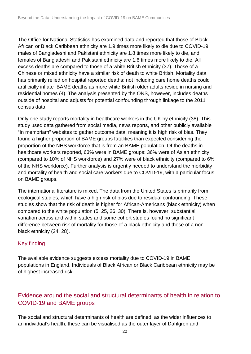The Office for National Statistics has examined data and reported that those of Black African or Black Caribbean ethnicity are 1.9 times more likely to die due to COVID-19; males of Bangladeshi and Pakistani ethnicity are 1.8 times more likely to die, and females of Bangladeshi and Pakistani ethnicity are 1.6 times more likely to die. All excess deaths are compared to those of a white British ethnicity (37). Those of a Chinese or mixed ethnicity have a similar risk of death to white British. Mortality data has primarily relied on hospital reported deaths; not including care home deaths could artificially inflate BAME deaths as more white British older adults reside in nursing and residential homes (4). The analysis presented by the ONS, however, includes deaths outside of hospital and adjusts for potential confounding through linkage to the 2011 census data.

Only one study reports mortality in healthcare workers in the UK by ethnicity (38). This study used data gathered from social media, news reports, and other publicly available "In memoriam" websites to gather outcome data, meaning it is high risk of bias. They found a higher proportion of BAME groups fatalities than expected considering the proportion of the NHS workforce that is from an BAME population. Of the deaths in healthcare workers reported, 63% were in BAME groups: 36% were of Asian ethnicity (compared to 10% of NHS workforce) and 27% were of black ethnicity (compared to 6% of the NHS workforce). Further analysis is urgently needed to understand the morbidity and mortality of health and social care workers due to COVID-19, with a particular focus on BAME groups.

The international literature is mixed. The data from the United States is primarily from ecological studies, which have a high risk of bias due to residual confounding. These studies show that the risk of death is higher for African-Americans (black ethnicity) when compared to the white population (5, 25, 26, 30). There is, however, substantial variation across and within states and some cohort studies found no significant difference between risk of mortality for those of a black ethnicity and those of a nonblack ethnicity (24, 28).

## Key finding

The available evidence suggests excess mortality due to COVID-19 in BAME populations in England. Individuals of Black African or Black Caribbean ethnicity may be of highest increased risk.

# Evidence around the social and structural determinants of health in relation to COVID-19 and BAME groups

The social and structural determinants of health are defined as the wider influences to an individual's health; these can be visualised as the outer layer of Dahlgren and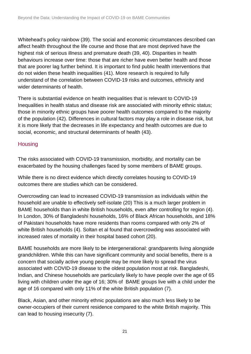Whitehead's policy rainbow (39). The social and economic circumstances described can affect health throughout the life course and those that are most deprived have the highest risk of serious illness and premature death (39, 40). Disparities in health behaviours increase over time: those that are richer have even better health and those that are poorer lag further behind. It is important to find public health interventions that do not widen these health inequalities (41). More research is required to fully understand of the correlation between COVID-19 risks and outcomes, ethnicity and wider determinants of health.

There is substantial evidence on health inequalities that is relevant to COVID-19 Inequalities in health status and disease risk are associated with minority ethnic status; those in minority ethnic groups have poorer health outcomes compared to the majority of the population (42). Differences in cultural factors may play a role in disease risk, but it is more likely that the decreases in life expectancy and health outcomes are due to social, economic, and structural determinants of health (43).

## **Housing**

The risks associated with COVID-19 transmission, morbidity, and mortality can be exacerbated by the housing challenges faced by some members of BAME groups.

While there is no direct evidence which directly correlates housing to COVID-19 outcomes there are studies which can be considered.

Overcrowding can lead to increased COVID-19 transmission as individuals within the household are unable to effectively self-isolate (20) This is a much larger problem in BAME households than in white British households, even after controlling for region (4). In London, 30% of Bangladeshi households, 16% of Black African households, and 18% of Pakistani households have more residents than rooms compared with only 2% of white British households (4). Soltan et al found that overcrowding was associated with increased rates of mortality in their hospital based cohort (20).

BAME households are more likely to be intergenerational: grandparents living alongside grandchildren. While this can have significant community and social benefits, there is a concern that socially active young people may be more likely to spread the virus associated with COVID-19 disease to the oldest population most at risk. Bangladeshi, Indian, and Chinese households are particularly likely to have people over the age of 65 living with children under the age of 16; 30% of BAME groups live with a child under the age of 16 compared with only 11% of the white British population (7).

Black, Asian, and other minority ethnic populations are also much less likely to be owner-occupiers of their current residence compared to the white British majority. This can lead to housing insecurity (7).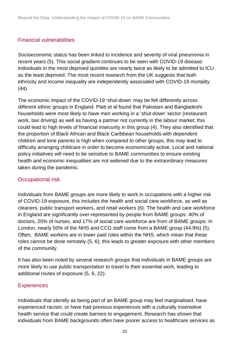#### Financial vulnerabilities

Socioeconomic status has been linked to incidence and severity of viral pneumonia in recent years (5). This social gradient continues to be seen with COVID-19 disease: individuals in the most deprived quintiles are nearly twice as likely to be admitted to ICU as the least deprived. The most recent research from the UK suggests that both ethnicity and income inequality are independently associated with COVID-19 mortality (44).

The economic impact of the COVID-19 'shut-down' may be felt differently across different ethnic groups in England. Platt et al found that Pakistani and Bangladeshi households were most likely to have men working in a 'shut-down' sector (restaurant work, taxi driving) as well as having a partner not currently in the labour market; this could lead to high levels of financial insecurity in this group (4). They also identified that the proportion of Black African and Black Caribbean households with dependent children and lone parents is high when compared to other groups; this may lead to difficulty arranging childcare in order to become economically active. Local and national policy initiatives will need to be sensitive to BAME communities to ensure existing health and economic inequalities are not widened due to the extraordinary measures taken during the pandemic.

#### Occupational risk

Individuals from BAME groups are more likely to work in occupations with a higher risk of COVID-19 exposure, this includes the health and social care workforce, as well as cleaners, public transport workers, and retail workers (6). The health and care workforce in England are significantly over-represented by people from BAME groups: 40% of doctors, 20% of nurses, and 17% of social care workforce are from of BAME groups. In London, nearly 50% of the NHS and CCG staff come from a BAME group (44.9%) (5). Often, BAME workers are in lower paid roles within the NHS, which mean that these roles cannot be done remotely (5, 6); this leads to greater exposure with other members of the community.

It has also been noted by several research groups that individuals in BAME groups are more likely to use public transportation to travel to their essential work, leading to additional routes of exposure (5, 6, 22).

#### **Experiences**

Individuals that identify as being part of an BAME group may feel marginalised, have experienced racism, or have had previous experiences with a culturally insensitive health service that could create barriers to engagement. Research has shown that individuals from BAME backgrounds often have poorer access to healthcare services as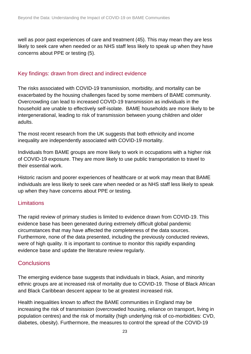well as poor past experiences of care and treatment (45). This may mean they are less likely to seek care when needed or as NHS staff less likely to speak up when they have concerns about PPE or testing (5).

#### Key findings: drawn from direct and indirect evidence

The risks associated with COVID-19 transmission, morbidity, and mortality can be exacerbated by the housing challenges faced by some members of BAME community. Overcrowding can lead to increased COVID-19 transmission as individuals in the household are unable to effectively self-isolate. BAME households are more likely to be intergenerational, leading to risk of transmission between young children and older adults.

The most recent research from the UK suggests that both ethnicity and income inequality are independently associated with COVID-19 mortality.

Individuals from BAME groups are more likely to work in occupations with a higher risk of COVID-19 exposure. They are more likely to use public transportation to travel to their essential work.

Historic racism and poorer experiences of healthcare or at work may mean that BAME individuals are less likely to seek care when needed or as NHS staff less likely to speak up when they have concerns about PPE or testing.

#### Limitations

The rapid review of primary studies is limited to evidence drawn from COVID-19. This evidence base has been generated during extremely difficult global pandemic circumstances that may have affected the completeness of the data sources. Furthermore, none of the data presented, including the previously conducted reviews, were of high quality. It is important to continue to monitor this rapidly expanding evidence base and update the literature review regularly.

#### **Conclusions**

The emerging evidence base suggests that individuals in black, Asian, and minority ethnic groups are at increased risk of mortality due to COVID-19. Those of Black African and Black Caribbean descent appear to be at greatest increased risk.

Health inequalities known to affect the BAME communities in England may be increasing the risk of transmission (overcrowded housing, reliance on transport, living in population centres) and the risk of mortality (high underlying risk of co-morbidities: CVD, diabetes, obesity). Furthermore, the measures to control the spread of the COVID-19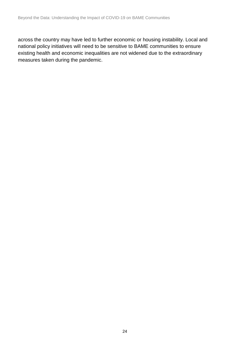across the country may have led to further economic or housing instability. Local and national policy initiatives will need to be sensitive to BAME communities to ensure existing health and economic inequalities are not widened due to the extraordinary measures taken during the pandemic.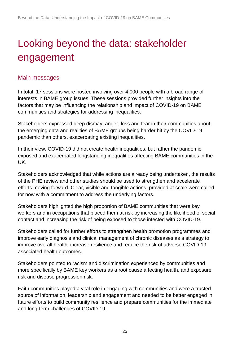# <span id="page-24-0"></span>Looking beyond the data: stakeholder engagement

## Main messages

In total, 17 sessions were hosted involving over 4,000 people with a broad range of interests in BAME group issues. These sessions provided further insights into the factors that may be influencing the relationship and impact of COVID-19 on BAME communities and strategies for addressing inequalities.

Stakeholders expressed deep dismay, anger, loss and fear in their communities about the emerging data and realities of BAME groups being harder hit by the COVID-19 pandemic than others, exacerbating existing inequalities.

In their view, COVID-19 did not create health inequalities, but rather the pandemic exposed and exacerbated longstanding inequalities affecting BAME communities in the UK.

Stakeholders acknowledged that while actions are already being undertaken, the results of the PHE review and other studies should be used to strengthen and accelerate efforts moving forward. Clear, visible and tangible actions, provided at scale were called for now with a commitment to address the underlying factors.

Stakeholders highlighted the high proportion of BAME communities that were key workers and in occupations that placed them at risk by increasing the likelihood of social contact and increasing the risk of being exposed to those infected with COVID-19.

Stakeholders called for further efforts to strengthen health promotion programmes and improve early diagnosis and clinical management of chronic diseases as a strategy to improve overall health, increase resilience and reduce the risk of adverse COVID-19 associated health outcomes.

Stakeholders pointed to racism and discrimination experienced by communities and more specifically by BAME key workers as a root cause affecting health, and exposure risk and disease progression risk.

Faith communities played a vital role in engaging with communities and were a trusted source of information, leadership and engagement and needed to be better engaged in future efforts to build community resilience and prepare communities for the immediate and long-term challenges of COVID-19.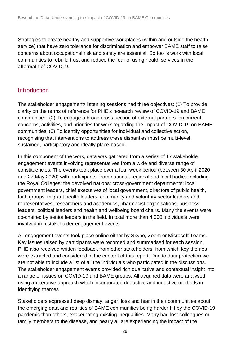Strategies to create healthy and supportive workplaces (within and outside the health service) that have zero tolerance for discrimination and empower BAME staff to raise concerns about occupational risk and safety are essential. So too is work with local communities to rebuild trust and reduce the fear of using health services in the aftermath of COVID19.

#### Introduction

The stakeholder engagement/ listening sessions had three objectives: (1) To provide clarity on the terms of reference for PHE's research review of COVID-19 and BAME communities; (2) To engage a broad cross-section of external partners on current concerns, activities, and priorities for work regarding the impact of COVID-19 on BAME communities' (3) To identify opportunities for individual and collective action, recognising that interventions to address these disparities must be multi-level, sustained, participatory and ideally place-based.

In this component of the work, data was gathered from a series of 17 stakeholder engagement events involving representatives from a wide and diverse range of constituencies. The events took place over a four week period (between 30 April 2020 and 27 May 2020) with participants from national, regional and local bodies including the Royal Colleges; the devolved nations; cross-government departments; local government leaders, chief executives of local government, directors of public health, faith groups, migrant health leaders, community and voluntary sector leaders and representatives, researchers and academics, pharmacist organisations, business leaders, political leaders and health and wellbeing board chairs. Many the events were co-chaired by senior leaders in the field. In total more than 4,000 individuals were involved in a stakeholder engagement events.

All engagement events took place online either by Skype, Zoom or Microsoft Teams. Key issues raised by participants were recorded and summarised for each session. PHE also received written feedback from other stakeholders, from which key themes were extracted and considered in the content of this report. Due to data protection we are not able to include a list of all the individuals who participated in the discussions. The stakeholder engagement events provided rich qualitative and contextual insight into a range of issues on COVID-19 and BAME groups. All acquired data were analysed using an iterative approach which incorporated deductive and inductive methods in identifying themes

Stakeholders expressed deep dismay, anger, loss and fear in their communities about the emerging data and realities of BAME communities being harder hit by the COVID-19 pandemic than others, exacerbating existing inequalities. Many had lost colleagues or family members to the disease, and nearly all are experiencing the impact of the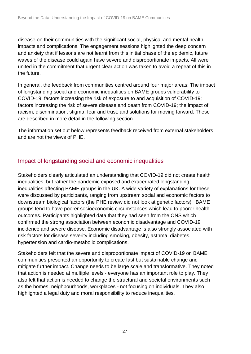disease on their communities with the significant social, physical and mental health impacts and complications. The engagement sessions highlighted the deep concern and anxiety that if lessons are not learnt from this initial phase of the epidemic, future waves of the disease could again have severe and disproportionate impacts. All were united in the commitment that urgent clear action was taken to avoid a repeat of this in the future.

In general, the feedback from communities centred around four major areas: The impact of longstanding social and economic inequalities on BAME groups vulnerability to COVID-19; factors increasing the risk of exposure to and acquisition of COVID-19; factors increasing the risk of severe disease and death from COVID-19; the impact of racism, discrimination, stigma, fear and trust; and solutions for moving forward. These are described in more detail in the following section.

The information set out below represents feedback received from external stakeholders and are not the views of PHE.

# Impact of longstanding social and economic inequalities

Stakeholders clearly articulated an understanding that COVID-19 did not create health inequalities, but rather the pandemic exposed and exacerbated longstanding inequalities affecting BAME groups in the UK. A wide variety of explanations for these were discussed by participants, ranging from upstream social and economic factors to downstream biological factors (the PHE review did not look at genetic factors). BAME groups tend to have poorer socioeconomic circumstances which [lead to poorer health](https://www.health.org.uk/publications/what-makes-us-healthy)  [outcomes.](https://www.health.org.uk/publications/what-makes-us-healthy) Participants highlighted data that they had seen from the ONS which confirmed the strong association between economic disadvantage and COVID-19 incidence and severe disease. Economic disadvantage is also strongly associated with risk factors for disease severity including smoking, obesity, asthma, diabetes, hypertension and cardio-metabolic complications.

Stakeholders felt that the severe and disproportionate impact of COVID-19 on BAME communities presented an opportunity to create fast but sustainable change and mitigate further impact. Change needs to be large scale and transformative. They noted that action is needed at multiple levels - everyone has an important role to play. They also felt that action is needed to change the structural and societal environments such as the homes, neighbourhoods, workplaces - not focusing on individuals. They also highlighted a legal duty and moral responsibility to reduce inequalities.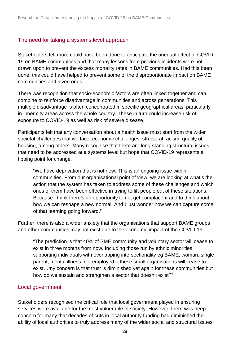#### The need for taking a systems level approach

Stakeholders felt more could have been done to anticipate the unequal effect of COVID-19 on BAME communities and that many lessons from previous incidents were not drawn upon to prevent the excess mortality rates in BAME communities. Had this been done, this could have helped to prevent some of the disproportionate impact on BAME communities and loved ones.

There was recognition that socio-economic factors are often linked together and can combine to reinforce disadvantage in communities and across generations. This multiple disadvantage is often concentrated in specific geographical areas, particularly in inner city areas across the whole country. These in turn could increase risk of exposure to COVID-19 as well as risk of severe disease.

Participants felt that any conversation about a health issue must start from the wider societal challenges that we face; economic challenges, structural racism, quality of housing, among others. Many recognise that there are long-standing structural issues that need to be addressed at a systems level but hope that COVID-19 represents a tipping point for change.

"We have deprivation that is not new. This is an ongoing issue within communities. From our organisational point of view, we are looking at what's the action that the system has taken to address some of these challenges and which ones of them have been effective in trying to lift people out of these situations. Because I think there's an opportunity to not get complacent and to think about how we can reshape a new normal. And I just wonder how we can capture some of that learning going forward."

Further, there is also a wider anxiety that the organisations that support BAME groups and other communities may not exist due to the economic impact of the COVID-19.

"The prediction is that 40% of SME community and voluntary sector will cease to exist in three months from now. Including those run by ethnic minorities supporting individuals with overlapping intersectionality eg BAME, woman, single parent, mental illness, not employed – these small organisations will cease to exist…my concern is that trust is diminished yet again for these communities but how do we sustain and strengthen a sector that doesn't exist?"

#### Local government

Stakeholders recognised the critical role that local government played in ensuring services were available for the most vulnerable in society. However, there was deep concern for many that decades of cuts in local authority funding had diminished the ability of local authorities to truly address many of the wider social and structural issues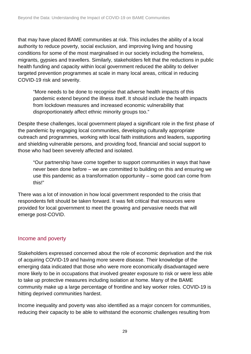that may have placed BAME communities at risk. This includes the ability of a local authority to reduce poverty, social exclusion, and improving living and housing conditions for some of the most marginalised in our society including the homeless, migrants, gypsies and travellers. Similarly, stakeholders felt that the reductions in public health funding and capacity within local government reduced the ability to deliver targeted prevention programmes at scale in many local areas, critical in reducing COVID-19 risk and severity.

"More needs to be done to recognise that adverse health impacts of this pandemic extend beyond the illness itself. It should include the health impacts from lockdown measures and increased economic vulnerability that disproportionately affect ethnic minority groups too."

Despite these challenges, local government played a significant role in the first phase of the pandemic by engaging local communities, developing culturally appropriate outreach and programmes, working with local faith institutions and leaders, supporting and shielding vulnerable persons, and providing food, financial and social support to those who had been severely affected and isolated.

"Our partnership have come together to support communities in ways that have never been done before – we are committed to building on this and ensuring we use this pandemic as a transformation opportunity – some good can come from this!"

There was a lot of innovation in how local government responded to the crisis that respondents felt should be taken forward. It was felt critical that resources were provided for local government to meet the growing and pervasive needs that will emerge post-COVID.

#### Income and poverty

Stakeholders expressed concerned about the role of economic deprivation and the risk of acquiring COVID-19 and having more severe disease. Their knowledge of the emerging data indicated that those who were more economically disadvantaged were more likely to be in occupations that involved greater exposure to risk or were less able to take up protective measures including isolation at home. Many of the BAME community make up a large percentage of frontline and key worker roles. COVID-19 is hitting deprived communities hardest.

Income inequality and poverty was also identified as a major concern for communities, reducing their capacity to be able to withstand the economic challenges resulting from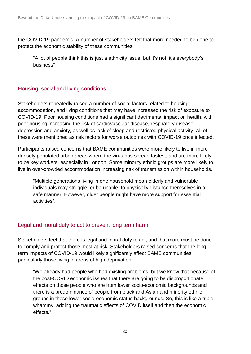the COVID-19 pandemic. A number of stakeholders felt that more needed to be done to protect the economic stability of these communities.

"A lot of people think this is just a ethnicity issue, but it's not: it's everybody's business"

### Housing, social and living conditions

Stakeholders repeatedly raised a number of social factors related to housing, accommodation, and living conditions that may have increased the risk of exposure to COVID-19. Poor housing conditions had a significant detrimental impact on health, with poor housing increasing the risk of cardiovascular disease, respiratory disease, depression and anxiety, as well as lack of sleep and restricted physical activity. All of these were mentioned as risk factors for worse outcomes with COVID-19 once infected.

Participants raised concerns that BAME communities were more likely to live in more densely populated urban areas where the virus has spread fastest, and are more likely to be key workers, especially in London. Some minority ethnic groups are more likely to live in over-crowded accommodation increasing risk of transmission within households.

"Multiple generations living in one household mean elderly and vulnerable individuals may struggle, or be unable, to physically distance themselves in a safe manner. However, older people might have more support for essential activities".

## Legal and moral duty to act to prevent long term harm

Stakeholders feel that there is legal and moral duty to act, and that more must be done to comply and protect those most at risk. Stakeholders raised concerns that the longterm impacts of COVID-19 would likely significantly affect BAME communities particularly those living in areas of high deprivation.

"We already had people who had existing problems, but we know that because of the post-COVID economic issues that there are going to be disproportionate effects on those people who are from lower socio-economic backgrounds and there is a predominance of people from black and Asian and minority ethnic groups in those lower socio-economic status backgrounds. So, this is like a triple whammy, adding the traumatic effects of COVID itself and then the economic effects."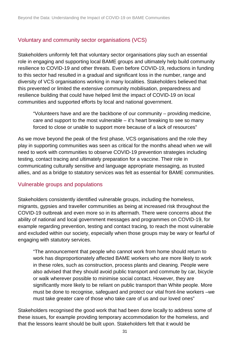#### Voluntary and community sector organisations (VCS)

Stakeholders uniformly felt that voluntary sector organisations play such an essential role in engaging and supporting local BAME groups and ultimately help build community resilience to COVID-19 and other threats. Even before COVID-19, reductions in funding to this sector had resulted in a gradual and significant loss in the number, range and diversity of VCS organisations working in many localities. Stakeholders believed that this prevented or limited the extensive community mobilisation, preparedness and resilience building that could have helped limit the impact of COVID-19 on local communities and supported efforts by local and national government.

"Volunteers have and are the backbone of our community – providing medicine, care and support to the most vulnerable – it's heart breaking to see so many forced to close or unable to support more because of a lack of resources"

As we move beyond the peak of the first phase, VCS organisations and the role they play in supporting communities was seen as critical for the months ahead when we will need to work with communities to observe COVID-19 prevention strategies including testing, contact tracing and ultimately preparation for a vaccine. Their role in communicating culturally sensitive and language appropriate messaging, as trusted allies, and as a bridge to statutory services was felt as essential for BAME communities.

#### Vulnerable groups and populations

Stakeholders consistently identified vulnerable groups, including the homeless, migrants, gypsies and traveller communities as being at increased risk throughout the COVID-19 outbreak and even more so in its aftermath. There were concerns about the ability of national and local government messages and programmes on COVID-19, for example regarding prevention, testing and contact tracing, to reach the most vulnerable and excluded within our society, especially when those groups may be wary or fearful of engaging with statutory services.

"The announcement that people who cannot work from home should return to work has disproportionately affected BAME workers who are more likely to work in these roles, such as construction, process plants and cleaning. People were also advised that they should avoid public transport and commute by car, bicycle or walk wherever possible to minimise social contact. However, they are significantly more likely to be reliant on public transport than White people. More must be done to recognise, safeguard and protect our vital front-line workers –we must take greater care of those who take care of us and our loved ones"

Stakeholders recognised the good work that had been done locally to address some of these issues, for example providing temporary accommodation for the homeless, and that the lessons learnt should be built upon. Stakeholders felt that it would be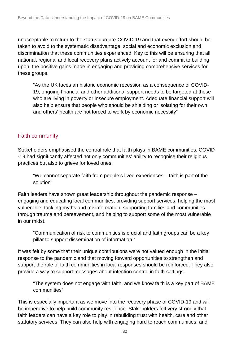unacceptable to return to the status quo pre-COVID-19 and that every effort should be taken to avoid to the systematic disadvantage, social and economic exclusion and discrimination that these communities experienced. Key to this will be ensuring that all national, regional and local recovery plans actively account for and commit to building upon, the positive gains made in engaging and providing comprehensive services for these groups.

"As the UK faces an historic economic recession as a consequence of COVID-19, ongoing financial and other additional support needs to be targeted at those who are living in poverty or insecure employment. Adequate financial support will also help ensure that people who should be shielding or isolating for their own and others' health are not forced to work by economic necessity"

#### Faith community

Stakeholders emphasised the central role that faith plays in BAME communities. COVID -19 had significantly affected not only communities' ability to recognise their religious practices but also to grieve for loved ones.

"We cannot separate faith from people's lived experiences – faith is part of the solution"

Faith leaders have shown great leadership throughout the pandemic response – engaging and educating local communities, providing support services, helping the most vulnerable, tackling myths and misinformation, supporting families and communities through trauma and bereavement, and helping to support some of the most vulnerable in our midst.

"Communication of risk to communities is crucial and faith groups can be a key pillar to support dissemination of information "

It was felt by some that their unique contributions were not valued enough in the initial response to the pandemic and that moving forward opportunities to strengthen and support the role of faith communities in local responses should be reinforced. They also provide a way to support messages about infection control in faith settings.

"The system does not engage with faith, and we know faith is a key part of BAME communities"

This is especially important as we move into the recovery phase of COVID-19 and will be imperative to help build community resilience. Stakeholders felt very strongly that faith leaders can have a key role to play in rebuilding trust with health, care and other statutory services. They can also help with engaging hard to reach communities, and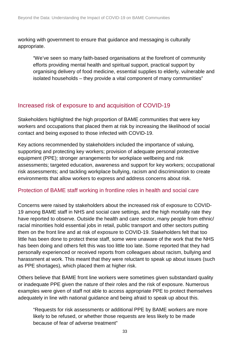working with government to ensure that guidance and messaging is culturally appropriate.

"We've seen so many faith-based organisations at the forefront of community efforts providing mental health and spiritual support, practical support by organising delivery of food medicine, essential supplies to elderly, vulnerable and isolated households – they provide a vital component of many communities"

# Increased risk of exposure to and acquisition of COVID-19

Stakeholders highlighted the high proportion of BAME communities that were key workers and occupations that placed them at risk by increasing the likelihood of social contact and being exposed to those infected with COVID-19.

Key actions recommended by stakeholders included the importance of valuing, supporting and protecting key workers; provision of adequate personal protective equipment (PPE); stronger arrangements for workplace wellbeing and risk assessments; targeted education, awareness and support for key workers; occupational risk assessments; and tackling workplace bullying, racism and discrimination to create environments that allow workers to express and address concerns about risk.

#### Protection of BAME staff working in frontline roles in health and social care

Concerns were raised by stakeholders about the increased risk of exposure to COVID-19 among BAME staff in NHS and social care settings, and the high mortality rate they have reported to observe. Outside the health and care sector, many people from ethnic/ racial minorities hold essential jobs in retail, public transport and other sectors putting them on the front line and at risk of exposure to COVID-19. Stakeholders felt that too little has been done to protect these staff, some were unaware of the work that the NHS has been doing and others felt this was too little too late. Some reported that they had personally experienced or received reports from colleagues about racism, bullying and harassment at work. This meant that they were reluctant to speak up about issues (such as PPE shortages), which placed them at higher risk.

Others believe that BAME front line workers were sometimes given substandard quality or inadequate PPE given the nature of their roles and the risk of exposure. Numerous examples were given of staff not able to access appropriate PPE to protect themselves adequately in line with national guidance and being afraid to speak up about this.

"Requests for risk assessments or additional PPE by BAME workers are more likely to be refused, or whether those requests are less likely to be made because of fear of adverse treatment"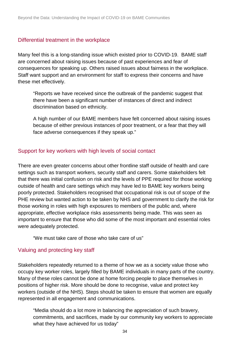#### Differential treatment in the workplace

Many feel this is a long-standing issue which existed prior to COVID-19. BAME staff are concerned about raising issues because of past experiences and fear of consequences for speaking up. Others raised issues about fairness in the workplace. Staff want support and an environment for staff to express their concerns and have these met effectively.

"Reports we have received since the outbreak of the pandemic suggest that there have been a significant number of instances of direct and indirect discrimination based on ethnicity.

A high number of our BAME members have felt concerned about raising issues because of either previous instances of poor treatment, or a fear that they will face adverse consequences if they speak up."

#### Support for key workers with high levels of social contact

There are even greater concerns about other frontline staff outside of health and care settings such as transport workers, security staff and carers. Some stakeholders felt that there was initial confusion on risk and the levels of PPE required for those working outside of health and care settings which may have led to BAME key workers being poorly protected. Stakeholders recognised that occupational risk is out of scope of the PHE review but wanted action to be taken by NHS and government to clarify the risk for those working in roles with high exposures to members of the public and, where appropriate, effective workplace risks assessments being made. This was seen as important to ensure that those who did some of the most important and essential roles were adequately protected.

"We must take care of those who take care of us"

#### Valuing and protecting key staff

Stakeholders repeatedly returned to a theme of how we as a society value those who occupy key worker roles, largely filled by BAME individuals in many parts of the country. Many of these roles cannot be done at home forcing people to place themselves in positions of higher risk. More should be done to recognise, value and protect key workers (outside of the NHS). Steps should be taken to ensure that women are equally represented in all engagement and communications.

"Media should do a lot more in balancing the appreciation of such bravery, commitments, and sacrifices, made by our community key workers to appreciate what they have achieved for us today"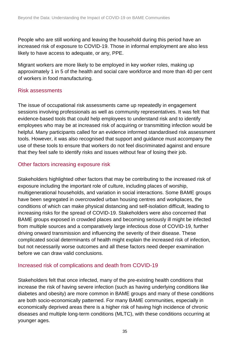People who are still working and leaving the household during this period have an increased risk of exposure to COVID-19. Those in informal employment are also less likely to have access to adequate, or any, PPE.

Migrant workers are more likely to be employed in key worker roles, making up approximately 1 in 5 of the health and social care workforce and more than 40 per cent of workers in food manufacturing.

#### Risk assessments

The issue of occupational risk assessments came up repeatedly in engagement sessions involving professionals as well as community representatives. It was felt that evidence-based tools that could help employees to understand risk and to identify employees who may be at increased risk of acquiring or transmitting infection would be helpful. Many participants called for an evidence informed standardised risk assessment tools. However, it was also recognised that support and guidance must accompany the use of these tools to ensure that workers do not feel discriminated against and ensure that they feel safe to identify risks and issues without fear of losing their job.

#### Other factors increasing exposure risk

Stakeholders highlighted other factors that may be contributing to the increased risk of exposure including the important role of culture, including places of worship, multigenerational households, and variation in social interactions. Some BAME groups have been segregated in overcrowded urban housing centres and workplaces, the conditions of which can make physical distancing and self-isolation difficult, leading to increasing risks for the spread of COVID-19. Stakeholders were also concerned that BAME groups exposed in crowded places and becoming seriously ill might be infected from multiple sources and a comparatively large infectious dose of COVID-19, further driving onward transmission and influencing the severity of their disease. These complicated social determinants of health might explain the increased risk of infection, but not necessarily worse outcomes and all these factors need deeper examination before we can draw valid conclusions.

#### Increased risk of complications and death from COVID-19

Stakeholders felt that once infected, many of the pre-existing health conditions that increase the risk of having severe infection (such as having underlying conditions like diabetes and obesity) are more common in BAME groups and many of these conditions are both socio-economically patterned. For many BAME communities, especially in economically deprived areas there is a higher risk of having high incidence of chronic diseases and multiple long-term conditions (MLTC), with these conditions occurring at younger ages.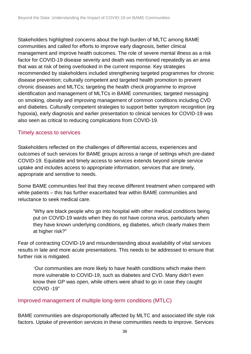Stakeholders highlighted concerns about the high burden of MLTC among BAME communities and called for efforts to improve early diagnosis, better clinical management and improve health outcomes. The role of severe mental illness as a risk factor for COVID-19 disease severity and death was mentioned repeatedly as an area that was at risk of being overlooked in the current response. Key strategies recommended by stakeholders included strengthening targeted programmes for chronic disease prevention; culturally competent and targeted health promotion to prevent chronic diseases and MLTCs; targeting the health check programme to improve identification and management of MLTCs in BAME communities; targeted messaging on smoking, obesity and improving management of common conditions including CVD and diabetes. Culturally competent strategies to support better symptom recognition (eg hypoxia), early diagnosis and earlier presentation to clinical services for COVID-19 was also seen as critical to reducing complications from COVID-19.

#### Timely access to services

Stakeholders reflected on the challenges of differential access, experiences and outcomes of such services for BAME groups across a range of settings which pre-dated COVID-19. Equitable and timely access to services extends beyond simple service uptake and includes access to appropriate information, services that are timely, appropriate and sensitive to needs.

Some BAME communities feel that they receive different treatment when compared with white patients – this has further exacerbated fear within BAME communities and reluctance to seek medical care.

"Why are black people who go into hospital with other medical conditions being put on COVID-19 wards when they do not have corona virus, particularly when they have known underlying conditions, eg diabetes, which clearly makes them at higher risk?"

Fear of contracting COVID-19 and misunderstanding about availability of vital services results in late and more acute presentations. This needs to be addressed to ensure that further risk is mitigated.

*"*Our communities are more likely to have health conditions which make them more vulnerable to COVID-19, such as diabetes and CVD. Many didn't even know their GP was open, while others were afraid to go in case they caught COVID -19"

#### Improved management of multiple long-term conditions (MTLC)

BAME communities are disproportionally affected by MLTC and associated life style risk factors. Uptake of prevention services in these communities needs to improve. Services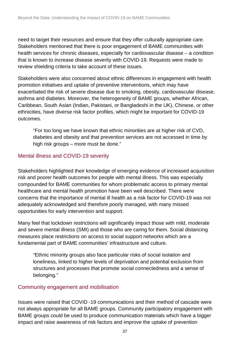need to target their resources and ensure that they offer culturally appropriate care. Stakeholders mentioned that there is poor engagement of BAME communities with health services for chronic diseases, especially for cardiovascular disease – a condition that is known to increase disease severity with COVID-19. Requests were made to review shielding criteria to take account of these issues.

Stakeholders were also concerned about ethnic differences in engagement with health promotion initiatives and uptake of preventive interventions, which may have exacerbated the risk of severe disease due to smoking, obesity, cardiovascular disease, asthma and diabetes. Moreover, the heterogeneity of BAME groups, whether African, Caribbean, South Asian (Indian, Pakistani, or Bangladeshi in the UK), Chinese, or other ethnicities, have diverse risk factor profiles, which might be important for COVID-19 outcomes.

"For too long we have known that ethnic minorities are at higher risk of CVD, diabetes and obesity and that prevention services are not accessed in time by high risk groups – more must be done."

#### Mental illness and COVID-19 severity

Stakeholders highlighted their knowledge of emerging evidence of increased acquisition risk and poorer health outcomes for people with mental illness. This was especially compounded for BAME communities for whom problematic access to primary mental healthcare and mental health promotion have been well described. There were concerns that the importance of mental ill health as a risk factor for COVID-19 was not adequately acknowledged and therefore poorly managed, with many missed opportunities for early intervention and support.

Many feel that lockdown restrictions will significantly impact those with mild, moderate and severe mental illness (SMI) and those who are caring for them. Social distancing measures place restrictions on access to social support networks which are a fundamental part of BAME communities' infrastructure and culture.

"Ethnic minority groups also face particular risks of social isolation and loneliness, linked to higher levels of deprivation and potential exclusion from structures and processes that promote social connectedness and a sense of belonging."

#### Community engagement and mobilisation

Issues were raised that COVID -19 communications and their method of cascade were not always appropriate for all BAME groups. Community participatory engagement with BAME groups could be used to produce communication materials which have a bigger impact and raise awareness of risk factors and improve the uptake of prevention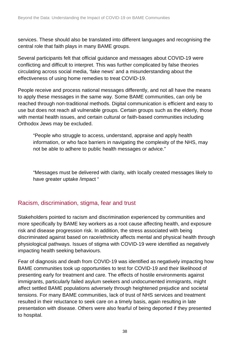services. These should also be translated into different languages and recognising the central role that faith plays in many BAME groups.

Several participants felt that official guidance and messages about COVID-19 were conflicting and difficult to interpret. This was further complicated by false theories circulating across social media, 'fake news' and a misunderstanding about the effectiveness of using home remedies to treat COVID-19.

People receive and process national messages differently, and not all have the means to apply these messages in the same way. Some BAME communities, can only be reached through non-traditional methods. Digital communication is efficient and easy to use but does not reach all vulnerable groups. Certain groups such as the elderly, those with mental health issues, and certain cultural or faith-based communities including Orthodox Jews may be excluded.

"People who struggle to access, understand, appraise and apply health information, or who face barriers in navigating the complexity of the NHS, may not be able to adhere to public health messages or advice."

"Messages must be delivered with clarity, with locally created messages likely to have greater uptake /impact "

# Racism, discrimination, stigma, fear and trust

Stakeholders pointed to racism and discrimination experienced by communities and more specifically by BAME key workers as a root cause affecting health, and exposure risk and disease progression risk. In addition, the stress associated with being discriminated against based on race/ethnicity affects mental and physical health through physiological pathways. Issues of stigma with COVID-19 were identified as negatively impacting health seeking behaviours.

Fear of diagnosis and death from COVID-19 was identified as negatively impacting how BAME communities took up opportunities to test for COVID-19 and their likelihood of presenting early for treatment and care. The effects of hostile environments against immigrants, particularly failed asylum seekers and undocumented immigrants, might affect settled BAME populations adversely through heightened prejudice and societal tensions. For many BAME communities, lack of trust of NHS services and treatment resulted in their reluctance to seek care on a timely basis, again resulting in late presentation with disease. Others were also fearful of being deported if they presented to hospital.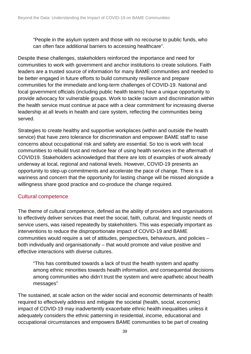"People in the asylum system and those with no recourse to public funds, who can often face additional barriers to accessing healthcare".

Despite these challenges, stakeholders reinforced the importance and need for communities to work with government and anchor institutions to create solutions. Faith leaders are a trusted source of information for many BAME communities and needed to be better engaged in future efforts to build community resilience and prepare communities for the immediate and long-term challenges of COVID-19. National and local government officials (including public health teams) have a unique opportunity to provide advocacy for vulnerable groups. Work to tackle racism and discrimination within the health service must continue at pace with a clear commitment for increasing diverse leadership at all levels in health and care system, reflecting the communities being served.

Strategies to create healthy and supportive workplaces (within and outside the health service) that have zero tolerance for discrimination and empower BAME staff to raise concerns about occupational risk and safety are essential. So too is work with local communities to rebuild trust and reduce fear of using health services in the aftermath of COVID19. Stakeholders acknowledged that there are lots of examples of work already underway at local, regional and national levels. However, COVID-19 presents an opportunity to step-up commitments and accelerate the pace of change. There is a wariness and concern that the opportunity for lasting change will be missed alongside a willingness share good practice and co-produce the change required.

#### Cultural competence

The theme of cultural competence, defined as the ability of providers and organisations to effectively deliver services that meet the social, faith, cultural, and linguistic needs of service users, was raised repeatedly by stakeholders. This was especially important as interventions to reduce the disproportionate impact of COVID-19 and BAME communities would require a set of attitudes, perspectives, behaviours, and policies – both individually and organisationally – that would promote and value positive and effective interactions with diverse cultures.

"This has contributed towards a lack of trust the health system and apathy among ethnic minorities towards health information, and consequential decisions among communities who didn't trust the system and were apathetic about health messages"

The sustained, at scale action on the wider social and economic determinants of health required to effectively address and mitigate the societal (health, social, economic) impact of COVID-19 may inadvertently exacerbate ethnic health inequalities unless it adequately considers the ethnic patterning in residential, income, educational and occupational circumstances and empowers BAME communities to be part of creating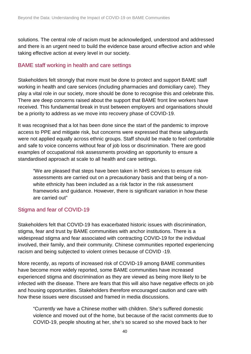solutions. The central role of racism must be acknowledged, understood and addressed and there is an urgent need to build the evidence base around effective action and while taking effective action at every level in our society.

#### BAME staff working in health and care settings

Stakeholders felt strongly that more must be done to protect and support BAME staff working in health and care services (including pharmacies and domiciliary care). They play a vital role in our society, more should be done to recognise this and celebrate this. There are deep concerns raised about the support that BAME front line workers have received. This fundamental break in trust between employers and organisations should be a priority to address as we move into recovery phase of COVID-19.

It was recognised that a lot has been done since the start of the pandemic to improve access to PPE and mitigate risk, but concerns were expressed that these safeguards were not applied equally across ethnic groups. Staff should be made to feel comfortable and safe to voice concerns without fear of job loss or discrimination. There are good examples of occupational risk assessments providing an opportunity to ensure a standardised approach at scale to all health and care settings.

"We are pleased that steps have been taken in NHS services to ensure risk assessments are carried out on a precautionary basis and that being of a nonwhite ethnicity has been included as a risk factor in the risk assessment frameworks and guidance. However, there is significant variation in how these are carried out"

## Stigma and fear of COVID-19

Stakeholders felt that COVID-19 has exacerbated historic issues with discrimination, stigma, fear and trust by BAME communities with anchor institutions. There is a widespread stigma and fear associated with contracting COVID-19 for the individual involved, their family, and their community. Chinese communities reported experiencing racism and being subjected to violent crimes because of COVID -19.

More recently, as reports of increased risk of COVID-19 among BAME communities have become more widely reported, some BAME communities have increased experienced stigma and discrimination as they are viewed as being more likely to be infected with the disease. There are fears that this will also have negative effects on job and housing opportunities. Stakeholders therefore encouraged caution and care with how these issues were discussed and framed in media discussions.

"Currently we have a Chinese mother with children. She's suffered domestic violence and moved out of the home, but because of the racist comments due to COVID-19, people shouting at her, she's so scared so she moved back to her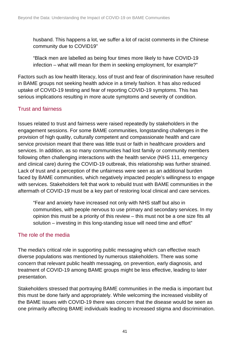husband. This happens a lot, we suffer a lot of racist comments in the Chinese community due to COVID19"

"Black men are labelled as being four times more likely to have COVID-19 infection – what will mean for them in seeking employment, for example?"

Factors such as low health literacy, loss of trust and fear of discrimination have resulted in BAME groups not seeking health advice in a timely fashion. It has also reduced uptake of COVID-19 testing and fear of reporting COVID-19 symptoms. This has serious implications resulting in more acute symptoms and severity of condition.

### Trust and fairness

Issues related to trust and fairness were raised repeatedly by stakeholders in the engagement sessions. For some BAME communities, longstanding challenges in the provision of high quality, culturally competent and compassionate health and care service provision meant that there was little trust or faith in healthcare providers and services. In addition, as so many communities had lost family or community members following often challenging interactions with the health service (NHS 111, emergency and clinical care) during the COVID-19 outbreak, this relationship was further strained. Lack of trust and a perception of the unfairness were seen as an additional burden faced by BAME communities, which negatively impacted people's willingness to engage with services. Stakeholders felt that work to rebuild trust with BAME communities in the aftermath of COVID-19 must be a key part of restoring local clinical and care services.

"Fear and anxiety have increased not only with NHS staff but also in communities, with people nervous to use primary and secondary services. In my opinion this must be a priority of this review – this must not be a one size fits all solution – investing in this long-standing issue will need time and effort"

## The role of the media

The media's critical role in supporting public messaging which can effective reach diverse populations was mentioned by numerous stakeholders. There was some concern that relevant public health messaging, on prevention, early diagnosis, and treatment of COVID-19 among BAME groups might be less effective, leading to later presentation.

Stakeholders stressed that portraying BAME communities in the media is important but this must be done fairly and appropriately. While welcoming the increased visibility of the BAME issues with COVID-19 there was concern that the disease would be seen as one primarily affecting BAME individuals leading to increased stigma and discrimination.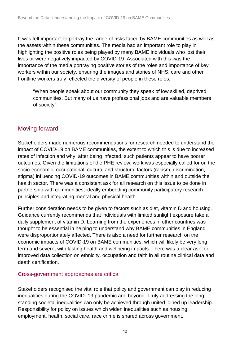It was felt important to portray the range of risks faced by BAME communities as well as the assets within these communities. The media had an important role to play in highlighting the positive roles being played by many BAME individuals who lost their lives or were negatively impacted by COVID-19. Associated with this was the importance of the media portraying positive stories of the roles and importance of key workers within our society, ensuring the images and stories of NHS, care and other frontline workers truly reflected the diversity of people in these roles.

"When people speak about our community they speak of low skilled, deprived communities. But many of us have professional jobs and are valuable members of society".

# Moving forward

Stakeholders made numerous recommendations for research needed to understand the impact of COVID-19 on BAME communities, the extent to which this is due to increased rates of infection and why, after being infected, such patients appear to have poorer outcomes. Given the limitations of the PHE review, work was especially called for on the socio-economic, occupational, cultural and structural factors (racism, discrimination, stigma) influencing COVID-19 outcomes in BAME communities within and outside the health sector. There was a consistent ask for all research on this issue to be done in partnership with communities, ideally embedding community participatory research principles and integrating mental and physical health.

Further consideration needs to be given to factors such as diet, vitamin D and housing. Guidance currently recommends that individuals with limited sunlight exposure take a daily supplement of vitamin D. Learning from the experiences in other countries was thought to be essential in helping to understand why BAME communities in England were disproportionately affected. There is also a need for further research on the economic impacts of COVID-19 on BAME communities, which will likely be very long term and severe, with lasting health and wellbeing impacts. There was a clear ask for improved data collection on ethnicity, occupation and faith in all routine clinical data and death certification.

#### Cross-government approaches are critical

Stakeholders recognised the vital role that policy and government can play in reducing inequalities during the COVID -19 pandemic and beyond. Truly addressing the long standing societal inequalities can only be achieved through united joined up leadership. Responsibility for policy on issues which widen inequalities such as housing, employment, health, social care, race crime is shared across government.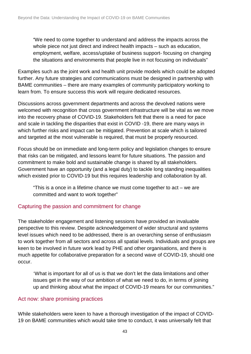"We need to come together to understand and address the impacts across the whole piece not just direct and indirect health impacts – such as education, employment, welfare, access/uptake of business support- focusing on changing the situations and environments that people live in not focusing on individuals"

Examples such as the joint work and health unit provide models which could be adopted further. Any future strategies and communications must be designed in partnership with BAME communities – there are many examples of community participatory working to learn from. To ensure success this work will require dedicated resources.

Discussions across government departments and across the devolved nations were welcomed with recognition that cross government infrastructure will be vital as we move into the recovery phase of COVID-19. Stakeholders felt that there is a need for pace and scale in tackling the disparities that exist in COVID -19, there are many ways in which further risks and impact can be mitigated. Prevention at scale which is tailored and targeted at the most vulnerable is required, that must be properly resourced.

Focus should be on immediate and long-term policy and legislation changes to ensure that risks can be mitigated, and lessons learnt for future situations. The passion and commitment to make bold and sustainable change is shared by all stakeholders. Government have an opportunity (and a legal duty) to tackle long standing inequalities which existed prior to COVID-19 but this requires leadership and collaboration by all.

"This is a once in a lifetime chance we must come together to act – we are committed and want to work together"

#### Capturing the passion and commitment for change

The stakeholder engagement and listening sessions have provided an invaluable perspective to this review. Despite acknowledgement of wider structural and systems level issues which need to be addressed, there is an overarching sense of enthusiasm to work together from all sectors and across all spatial levels. Individuals and groups are keen to be involved in future work lead by PHE and other organisations, and there is much appetite for collaborative preparation for a second wave of COVID-19, should one occur.

"What is important for all of us is that we don't let the data limitations and other issues get in the way of our ambition of what we need to do, in terms of joining up and thinking about what the impact of COVID-19 means for our communities."

#### Act now: share promising practices

While stakeholders were keen to have a thorough investigation of the impact of COVID-19 on BAME communities which would take time to conduct, it was universally felt that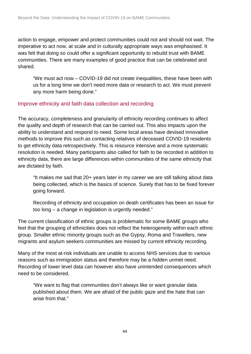action to engage, empower and protect communities could not and should not wait. The imperative to act now, at scale and in culturally appropriate ways was emphasised. It was felt that doing so could offer a significant opportunity to rebuild trust with BAME communities. There are many examples of good practice that can be celebrated and shared.

"We must act now – COVID-19 did not create inequalities, these have been with us for a long time we don't need more data or research to act. We must prevent any more harm being done."

#### Improve ethnicity and faith data collection and recording

The accuracy, completeness and granularity of ethnicity recording continues to affect the quality and depth of research that can be carried out. This also impacts upon the ability to understand and respond to need. Some local areas have devised innovative methods to improve this such as contacting relatives of deceased COVID-19 residents to get ethnicity data retrospectively. This is resource intensive and a more systematic resolution is needed. Many participants also called for faith to be recorded in addition to ethnicity data, there are large differences within communities of the same ethnicity that are dictated by faith.

"It makes me sad that 20+ years later in my career we are still talking about data being collected, which is the basics of science. Surely that has to be fixed forever going forward.

Recording of ethnicity and occupation on death certificates has been an issue for too long – a change in legislation is urgently needed."

The current classification of ethnic groups is problematic for some BAME groups who feel that the grouping of ethnicities does not reflect the heterogeneity within each ethnic group. Smaller ethnic minority groups such as the Gypsy, Roma and Travellers, new migrants and asylum seekers communities are missed by current ethnicity recording.

Many of the most at-risk individuals are unable to access NHS services due to various reasons such as immigration status and therefore may be a hidden unmet need. Recording of lower level data can however also have unintended consequences which need to be considered.

"We want to flag that communities don't always like or want granular data published about them. We are afraid of the public gaze and the hate that can arise from that."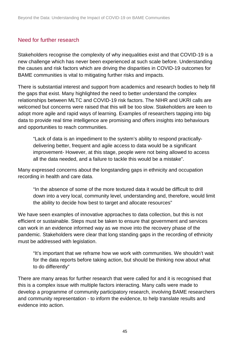#### Need for further research

Stakeholders recognise the complexity of why inequalities exist and that COVID-19 is a new challenge which has never been experienced at such scale before. Understanding the causes and risk factors which are driving the disparities in COVID-19 outcomes for BAME communities is vital to mitigating further risks and impacts.

There is substantial interest and support from academics and research bodies to help fill the gaps that exist. Many highlighted the need to better understand the complex relationships between MLTC and COVID-19 risk factors. The NIHR and UKRI calls are welcomed but concerns were raised that this will be too slow. Stakeholders are keen to adopt more agile and rapid ways of learning. Examples of researchers tapping into big data to provide real time intelligence are promising and offers insights into behaviours and opportunities to reach communities.

"Lack of data is an impediment to the system's ability to respond practicallydelivering better, frequent and agile access to data would be a significant improvement- However, at this stage, people were not being allowed to access all the data needed, and a failure to tackle this would be a mistake".

Many expressed concerns about the longstanding gaps in ethnicity and occupation recording in health and care data.

"In the absence of some of the more textured data it would be difficult to drill down into a very local, community level, understanding and, therefore, would limit the ability to decide how best to target and allocate resources"

We have seen examples of innovative approaches to data collection, but this is not efficient or sustainable. Steps must be taken to ensure that government and services can work in an evidence informed way as we move into the recovery phase of the pandemic. Stakeholders were clear that long standing gaps in the recording of ethnicity must be addressed with legislation.

"It's important that we reframe how we work with communities. We shouldn't wait for the data reports before taking action, but should be thinking now about what to do differently"

There are many areas for further research that were called for and it is recognised that this is a complex issue with multiple factors interacting. Many calls were made to develop a programme of community participatory research, involving BAME researchers and community representation - to inform the evidence, to help translate results and evidence into action.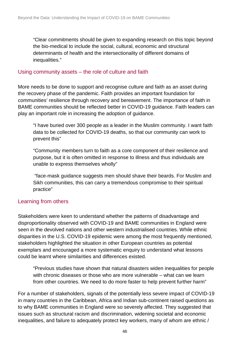"Clear commitments should be given to expanding research on this topic beyond the bio-medical to include the social, cultural, economic and structural determinants of health and the intersectionality of different domains of inequalities."

#### Using community assets – the role of culture and faith

More needs to be done to support and recognise culture and faith as an asset during the recovery phase of the pandemic. Faith provides an important foundation for communities' resilience through recovery and bereavement. The importance of faith in BAME communities should be reflected better in COVID-19 guidance. Faith leaders can play an important role in increasing the adoption of guidance.

"I have buried over 300 people as a leader in the Muslim community. I want faith data to be collected for COVID-19 deaths, so that our community can work to prevent this"

"Community members turn to faith as a core component of their resilience and purpose, but it is often omitted in response to illness and thus individuals are unable to express themselves wholly"

"face-mask guidance suggests men should shave their beards. For Muslim and Sikh communities, this can carry a tremendous compromise to their spiritual practice"

#### Learning from others

Stakeholders were keen to understand whether the patterns of disadvantage and disproportionality observed with COVID-19 and BAME communities in England were seen in the devolved nations and other western industrialised countries. While ethnic disparities in the U.S. COVID-19 epidemic were among the most frequently mentioned, stakeholders highlighted the situation in other European countries as potential exemplars and encouraged a more systematic enquiry to understand what lessons could be learnt where similarities and differences existed.

"Previous studies have shown that natural disasters widen inequalities for people with chronic diseases or those who are more vulnerable – what can we learn from other countries. We need to do more faster to help prevent further harm"

For a number of stakeholders, signals of the potentially less severe impact of COVID-19 in many countries in the Caribbean, Africa and Indian sub-continent raised questions as to why BAME communities in England were so severely affected. They suggested that issues such as structural racism and discrimination, widening societal and economic inequalities, and failure to adequately protect key workers, many of whom are ethnic /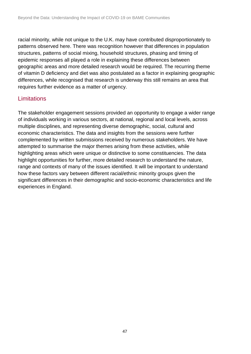racial minority, while not unique to the U.K. may have contributed disproportionately to patterns observed here. There was recognition however that differences in population structures, patterns of social mixing, household structures, phasing and timing of epidemic responses all played a role in explaining these differences between geographic areas and more detailed research would be required. The recurring theme of vitamin D deficiency and diet was also postulated as a factor in explaining geographic differences, while recognised that research is underway this still remains an area that requires further evidence as a matter of urgency.

### **Limitations**

The stakeholder engagement sessions provided an opportunity to engage a wider range of individuals working in various sectors, at national, regional and local levels, across multiple disciplines, and representing diverse demographic, social, cultural and economic characteristics. The data and insights from the sessions were further complemented by written submissions received by numerous stakeholders. We have attempted to summarise the major themes arising from these activities, while highlighting areas which were unique or distinctive to some constituencies. The data highlight opportunities for further, more detailed research to understand the nature, range and contexts of many of the issues identified. It will be important to understand how these factors vary between different racial/ethnic minority groups given the significant differences in their demographic and socio-economic characteristics and life experiences in England.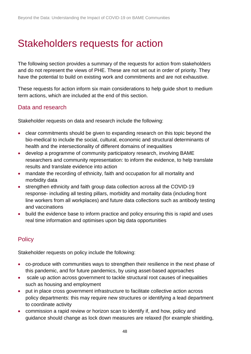# <span id="page-47-0"></span>Stakeholders requests for action

The following section provides a summary of the requests for action from stakeholders and do not represent the views of PHE. These are not set out in order of priority. They have the potential to build on existing work and commitments and are not exhaustive.

These requests for action inform six main considerations to help guide short to medium term actions, which are included at the end of this section.

### Data and research

Stakeholder requests on data and research include the following:

- clear commitments should be given to expanding research on this topic beyond the bio-medical to include the social, cultural, economic and structural determinants of health and the intersectionality of different domains of inequalities
- develop a programme of community participatory research, involving BAME researchers and community representation: to inform the evidence, to help translate results and translate evidence into action
- mandate the recording of ethnicity, faith and occupation for all mortality and morbidity data
- strengthen ethnicity and faith group data collection across all the COVID-19 response- including all testing pillars, morbidity and mortality data (including front line workers from all workplaces) and future data collections such as antibody testing and vaccinations
- build the evidence base to inform practice and policy ensuring this is rapid and uses real time information and optimises upon big data opportunities

## **Policy**

Stakeholder requests on policy include the following:

- co-produce with communities ways to strengthen their resilience in the next phase of this pandemic, and for future pandemics, by using asset-based approaches
- scale up action across government to tackle structural root causes of inequalities such as housing and employment
- put in place cross government infrastructure to facilitate collective action across policy departments: this may require new structures or identifying a lead department to coordinate activity
- commission a rapid review or horizon scan to identify if, and how, policy and guidance should change as lock down measures are relaxed (for example shielding,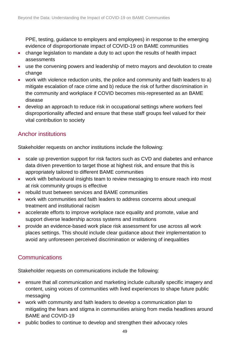PPE, testing, guidance to employers and employees) in response to the emerging evidence of disproportionate impact of COVID-19 on BAME communities

- change legislation to mandate a duty to act upon the results of health impact assessments
- use the convening powers and leadership of metro mayors and devolution to create change
- work with violence reduction units, the police and community and faith leaders to a) mitigate escalation of race crime and b) reduce the risk of further discrimination in the community and workplace if COVID becomes mis-represented as an BAME disease
- develop an approach to reduce risk in occupational settings where workers feel disproportionality affected and ensure that these staff groups feel valued for their vital contribution to society

# Anchor institutions

Stakeholder requests on anchor institutions include the following:

- scale up prevention support for risk factors such as CVD and diabetes and enhance data driven prevention to target those at highest risk, and ensure that this is appropriately tailored to different BAME communities
- work with behavioural insights team to review messaging to ensure reach into most at risk community groups is effective
- rebuild trust between services and BAME communities
- work with communities and faith leaders to address concerns about unequal treatment and institutional racism
- accelerate efforts to improve workplace race equality and promote, value and support diverse leadership across systems and institutions
- provide an evidence-based work place risk assessment for use across all work places settings. This should include clear guidance about their implementation to avoid any unforeseen perceived discrimination or widening of inequalities

# **Communications**

Stakeholder requests on communications include the following:

- ensure that all communication and marketing include culturally specific imagery and content, using voices of communities with lived experiences to shape future public messaging
- work with community and faith leaders to develop a communication plan to mitigating the fears and stigma in communities arising from media headlines around BAME and COVID-19
- public bodies to continue to develop and strengthen their advocacy roles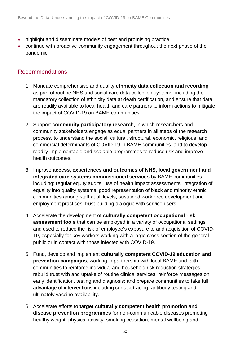- highlight and disseminate models of best and promising practice
- continue with proactive community engagement throughout the next phase of the pandemic

## Recommendations

- 1. Mandate comprehensive and quality **ethnicity data collection and recording** as part of routine NHS and social care data collection systems, including the mandatory collection of ethnicity data at death certification, and ensure that data are readily available to local health and care partners to inform actions to mitigate the impact of COVID-19 on BAME communities.
- 2. Support **community participatory research**, in which researchers and community stakeholders engage as equal partners in all steps of the research process, to understand the social, cultural, structural, economic, religious, and commercial determinants of COVID-19 in BAME communities, and to develop readily implementable and scalable programmes to reduce risk and improve health outcomes.
- 3. Improve **access, experiences and outcomes of NHS, local government and integrated care systems commissioned services** by BAME communities including: regular equity audits; use of health impact assessments; integration of equality into quality systems; good representation of black and minority ethnic communities among staff at all levels; sustained workforce development and employment practices; trust-building dialogue with service users.
- 4. Accelerate the development of **culturally competent occupational risk assessment tools** that can be employed in a variety of occupational settings and used to reduce the risk of employee's exposure to and acquisition of COVID-19, especially for key workers working with a large cross section of the general public or in contact with those infected with COVID-19.
- 5. Fund, develop and implement **culturally competent COVID-19 education and prevention campaigns**, working in partnership with local BAME and faith communities to reinforce individual and household risk reduction strategies; rebuild trust with and uptake of routine clinical services; reinforce messages on early identification, testing and diagnosis; and prepare communities to take full advantage of interventions including contact tracing, antibody testing and ultimately vaccine availability.
- 6. Accelerate efforts to **target culturally competent health promotion and disease prevention programmes** for non-communicable diseases promoting healthy weight, physical activity, smoking cessation, mental wellbeing and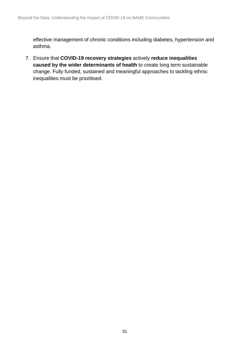effective management of chronic conditions including diabetes, hypertension and asthma.

7. Ensure that **COVID-19 recovery strategies** actively **reduce inequalities caused by the wider determinants of health** to create long term sustainable change. Fully funded, sustained and meaningful approaches to tackling ethnic inequalities must be prioritised.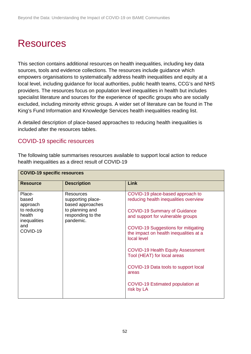# <span id="page-51-0"></span>**Resources**

This section contains additional resources on health inequalities, including key data sources, tools and evidence collections. The resources include guidance which empowers organisations to systematically address health inequalities and equity at a local level, including guidance for local authorities, public health teams, CCG's and NHS providers. The resources focus on population level inequalities in health but includes specialist literature and sources for the experience of specific groups who are socially excluded, including minority ethnic groups. A wider set of literature can be found in [The](https://koha.kingsfund.org.uk/cgi-bin/koha/opac-shelves.pl?op=view&shelfnumber=117)  [King's Fund Information and Knowledge Services health inequalities reading list.](https://koha.kingsfund.org.uk/cgi-bin/koha/opac-shelves.pl?op=view&shelfnumber=117)

A detailed description of place-based approaches to reducing health inequalities is included after the resources tables.

### COVID-19 specific resources

**COVID-19 specific resources**

The following table summarises resources available to support local action to reduce

| <b>Resource</b>                                                                         | <b>Description</b>                                                                                             | Link                                                                                                                                                                                                                                                                                                                                                                                                                         |
|-----------------------------------------------------------------------------------------|----------------------------------------------------------------------------------------------------------------|------------------------------------------------------------------------------------------------------------------------------------------------------------------------------------------------------------------------------------------------------------------------------------------------------------------------------------------------------------------------------------------------------------------------------|
| Place-<br>based<br>approach<br>to reducing<br>health<br>inequalities<br>and<br>COVID-19 | <b>Resources</b><br>supporting place-<br>based approaches<br>to planning and<br>responding to the<br>pandemic. | COVID-19 place-based approach to<br>reducing health inequalities overview<br><b>COVID-19 Summary of Guidance</b><br>and support for vulnerable groups<br><b>COVID-19 Suggestions for mitigating</b><br>the impact on health inequalities at a<br>local level<br><b>COVID-19 Health Equity Assessment</b><br>Tool (HEAT) for local areas<br>COVID-19 Data tools to support local<br>areas<br>COVID-19 Estimated population at |
|                                                                                         |                                                                                                                | risk by LA                                                                                                                                                                                                                                                                                                                                                                                                                   |

health inequalities as a direct result of COVID-19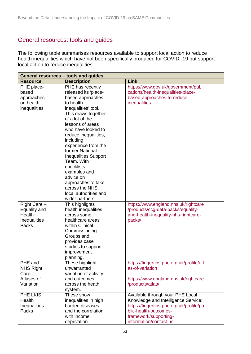# General resources: tools and guides

The following table summarises resources available to support local action to reduce health inequalities which have not been specifically produced for COVID -19 but support local action to reduce inequalities.

| General resources - tools and guides |                             |                                           |
|--------------------------------------|-----------------------------|-------------------------------------------|
| <b>Resource</b>                      | <b>Description</b>          | <b>Link</b>                               |
| PHE place-                           | PHE has recently            | https://www.gov.uk/government/publi       |
| based                                | released its 'place-        | cations/health-inequalities-place-        |
| approaches                           | based approaches            | based-approaches-to-reduce-               |
| on health                            | to health                   | inequalities                              |
| inequalities                         | inequalities' tool.         |                                           |
|                                      | This draws together         |                                           |
|                                      | of a lot of the             |                                           |
|                                      | lessons of areas            |                                           |
|                                      | who have looked to          |                                           |
|                                      | reduce inequalities,        |                                           |
|                                      | including                   |                                           |
|                                      | experience from the         |                                           |
|                                      | former National             |                                           |
|                                      | <b>Inequalities Support</b> |                                           |
|                                      | Team. With                  |                                           |
|                                      | checklists,                 |                                           |
|                                      | examples and                |                                           |
|                                      | advice on                   |                                           |
|                                      | approaches to take          |                                           |
|                                      | across the NHS,             |                                           |
|                                      | local authorities and       |                                           |
|                                      | wider partners.             |                                           |
| Right Care -                         | This highlights             | https://www.england.nhs.uk/rightcare      |
| Equality and                         | health inequalities         | /products/ccg-data-packs/equality-        |
| Health                               | across some                 | and-health-inequality-nhs-rightcare-      |
| Inequalities                         | healthcare areas            | packs/                                    |
| Packs                                | within Clinical             |                                           |
|                                      | Commissioning               |                                           |
|                                      | Groups and                  |                                           |
|                                      | provides case               |                                           |
|                                      | studies to support          |                                           |
|                                      | improvement                 |                                           |
|                                      | planning.                   |                                           |
| PHE and                              | These highlight             | https://fingertips.phe.org.uk/profile/atl |
| <b>NHS Right</b>                     | unwarranted                 | as-of-variation                           |
| Care                                 | variation of activity       |                                           |
| Atlases of                           | and outcomes                | https://www.england.nhs.uk/rightcare      |
| Variation                            | across the heath            | /products/atlas/                          |
|                                      | system.                     |                                           |
| PHE LKIS                             | These show                  | Available through your PHE Local          |
| Health                               | inequalities in high        | Knowledge and Intelligence Service:       |
| Inequalities                         | burden diseases             | https://fingertips.phe.org.uk/profile/pu  |
| Packs                                | and the correlation         | blic-health-outcomes-                     |
|                                      | with income                 | framework/supporting-                     |
|                                      | deprivation.                | information/contact-us                    |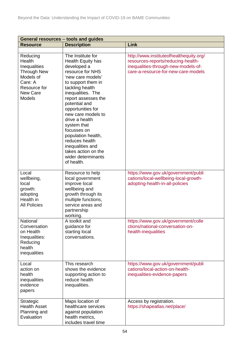| General resources - tools and guides                                                                                   |                                                                                                                                                                                                                                                                                                                                                                                                                        |                                                                                                                                                             |  |
|------------------------------------------------------------------------------------------------------------------------|------------------------------------------------------------------------------------------------------------------------------------------------------------------------------------------------------------------------------------------------------------------------------------------------------------------------------------------------------------------------------------------------------------------------|-------------------------------------------------------------------------------------------------------------------------------------------------------------|--|
| <b>Resource</b>                                                                                                        | <b>Description</b>                                                                                                                                                                                                                                                                                                                                                                                                     | Link                                                                                                                                                        |  |
|                                                                                                                        |                                                                                                                                                                                                                                                                                                                                                                                                                        |                                                                                                                                                             |  |
| Reducing<br>Health<br>Inequalities<br><b>Through New</b><br>Models of<br>Care: A<br>Resource for<br>New Care<br>Models | The Institute for<br>Health Equity has<br>developed a<br>resource for NHS<br>'new care models'<br>to support them in<br>tackling health<br>inequalities. The<br>report assesses the<br>potential and<br>opportunities for<br>new care models to<br>drive a health<br>system that<br>focusses on<br>population health,<br>reduces health<br>inequalities and<br>takes action on the<br>wider determinants<br>of health. | http://www.instituteofhealthequity.org/<br>resources-reports/reducing-health-<br>inequalities-through-new-models-of-<br>care-a-resource-for-new-care-models |  |
| Local<br>wellbeing,<br>local<br>growth:<br>adopting<br>Health in<br><b>All Policies</b>                                | Resource to help<br>local government<br>improve local<br>wellbeing and<br>growth through its<br>multiple functions,<br>service areas and<br>partnership<br>working.                                                                                                                                                                                                                                                    | https://www.gov.uk/government/publi<br>cations/local-wellbeing-local-growth-<br>adopting-health-in-all-policies                                             |  |
| National<br>Conversation<br>on Health<br>Inequalities:<br>Reducing<br>health<br>inequalities                           | A toolkit and<br>guidance for<br>starting local<br>conversations.                                                                                                                                                                                                                                                                                                                                                      | https://www.gov.uk/government/colle<br>ctions/national-conversation-on-<br>health-inequalities                                                              |  |
| Local<br>action on<br>health<br>inequalities<br>evidence<br>papers                                                     | This research<br>shows the evidence<br>supporting action to<br>reduce health<br>inequalities.                                                                                                                                                                                                                                                                                                                          | https://www.gov.uk/government/publi<br>cations/local-action-on-health-<br>inequalities-evidence-papers                                                      |  |
| Strategic<br><b>Health Asset</b><br>Planning and<br>Evaluation                                                         | Maps location of<br>healthcare services<br>against population<br>health metrics,<br>includes travel time                                                                                                                                                                                                                                                                                                               | Access by registration.<br>https://shapeatlas.net/place/                                                                                                    |  |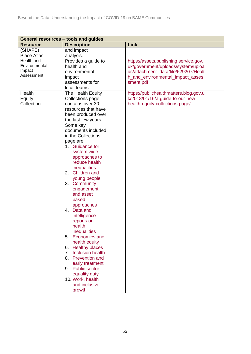| General resources - tools and guides |                                           |                                        |
|--------------------------------------|-------------------------------------------|----------------------------------------|
| <b>Resource</b>                      | <b>Description</b>                        | Link                                   |
| (SHAPE)                              | and impact                                |                                        |
| Place Atlas                          | analysis.                                 |                                        |
| Health and                           | Provides a guide to                       | https://assets.publishing.service.gov. |
| Environmental                        | health and                                | uk/government/uploads/system/uploa     |
| Impact                               | environmental                             | ds/attachment_data/file/629207/Healt   |
| Assessment                           | impact                                    | h_and_environmental_impact_asses       |
|                                      | assessments for                           | sment.pdf                              |
|                                      | local teams.                              |                                        |
| Health                               | The Health Equity                         | https://publichealthmatters.blog.gov.u |
| Equity                               | Collections page                          | k/2018/01/16/a-guide-to-our-new-       |
| Collection                           | contains over 30                          | health-equity-collections-page/        |
|                                      | resources that have                       |                                        |
|                                      | been produced over                        |                                        |
|                                      | the last few years.                       |                                        |
|                                      | Some key                                  |                                        |
|                                      | documents included                        |                                        |
|                                      | in the Collections                        |                                        |
|                                      | page are:                                 |                                        |
|                                      | 1. Guidance for                           |                                        |
|                                      | system wide                               |                                        |
|                                      | approaches to                             |                                        |
|                                      | reduce health                             |                                        |
|                                      | inequalities                              |                                        |
|                                      | 2. Children and                           |                                        |
|                                      | young people                              |                                        |
|                                      | 3. Community                              |                                        |
|                                      | engagement                                |                                        |
|                                      | and asset                                 |                                        |
|                                      | based                                     |                                        |
|                                      | approaches                                |                                        |
|                                      | 4. Data and                               |                                        |
|                                      | intelligence                              |                                        |
|                                      | reports on                                |                                        |
|                                      | health                                    |                                        |
|                                      | inequalities                              |                                        |
|                                      | <b>Economics and</b><br>5.                |                                        |
|                                      | health equity                             |                                        |
|                                      | <b>Healthy places</b><br>6.               |                                        |
|                                      | <b>Inclusion health</b><br>7 <sub>1</sub> |                                        |
|                                      | <b>Prevention and</b><br>8.               |                                        |
|                                      | early treatment                           |                                        |
|                                      | 9. Public sector                          |                                        |
|                                      | equality duty                             |                                        |
|                                      | 10. Work, health                          |                                        |
|                                      | and inclusive                             |                                        |
|                                      | growth                                    |                                        |
|                                      |                                           |                                        |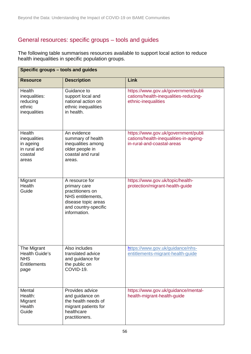# General resources: specific groups – tools and guides

The following table summarises resources available to support local action to reduce health inequalities in specific population groups.

| Specific groups - tools and guides                                         |                                                                                                                                        |                                                                                                             |  |
|----------------------------------------------------------------------------|----------------------------------------------------------------------------------------------------------------------------------------|-------------------------------------------------------------------------------------------------------------|--|
| <b>Resource</b>                                                            | <b>Description</b>                                                                                                                     | Link                                                                                                        |  |
| Health<br>inequalities:<br>reducing<br>ethnic<br>inequalities              | Guidance to<br>support local and<br>national action on<br>ethnic inequalities<br>in health.                                            | https://www.gov.uk/government/publi<br>cations/health-inequalities-reducing-<br>ethnic-inequalities         |  |
| Health<br>inequalities<br>in ageing<br>in rural and<br>coastal<br>areas    | An evidence<br>summary of health<br>inequalities among<br>older people in<br>coastal and rural<br>areas.                               | https://www.gov.uk/government/publi<br>cations/health-inequalities-in-ageing-<br>in-rural-and-coastal-areas |  |
| Migrant<br>Health<br>Guide                                                 | A resource for<br>primary care<br>practitioners on<br>NHS entitlements,<br>disease topic areas<br>and country-specific<br>information. | https://www.gov.uk/topic/health-<br>protection/migrant-health-guide                                         |  |
| The Migrant<br>Health Guide's<br><b>NHS</b><br><b>Entitlements</b><br>page | Also includes<br>translated advice<br>and guidance for<br>the public on<br>COVID-19.                                                   | https://www.gov.uk/guidance/nhs-<br>entitlements-migrant-health-guide                                       |  |
| Mental<br>Health:<br>Migrant<br>Health<br>Guide                            | Provides advice<br>and guidance on<br>the health needs of<br>migrant patients for<br>healthcare<br>practitioners.                      | https://www.gov.uk/guidance/mental-<br>health-migrant-health-guide                                          |  |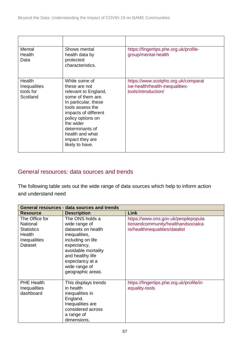| Mental<br>Health<br>Data                               | Shows mental<br>health data by<br>protected<br>characteristics.                                                                                                                                                                                               | https://fingertips.phe.org.uk/profile-<br>group/mental-health                                 |
|--------------------------------------------------------|---------------------------------------------------------------------------------------------------------------------------------------------------------------------------------------------------------------------------------------------------------------|-----------------------------------------------------------------------------------------------|
| Health<br><b>Inequalities</b><br>tools for<br>Scotland | While some of<br>these are not<br>relevant to England,<br>some of them are.<br>In particular, these<br>tools assess the<br>impacts of different<br>policy options on<br>the wider<br>determinants of<br>health and what<br>impact they are<br>likely to have. | https://www.scotpho.org.uk/comparat<br>ive-health/health-inequalities-<br>tools/introduction/ |

# General resources: data sources and trends

The following table sets out the wide range of data sources which help to inform action and understand need

| General resources - data sources and trends                                                 |                                                                                                                                                                                                                 |                                                                                                             |
|---------------------------------------------------------------------------------------------|-----------------------------------------------------------------------------------------------------------------------------------------------------------------------------------------------------------------|-------------------------------------------------------------------------------------------------------------|
| <b>Resource</b>                                                                             | <b>Description</b>                                                                                                                                                                                              | Link                                                                                                        |
| The Office for<br>National<br><b>Statistics</b><br>Health<br><b>Inequalities</b><br>Dataset | The ONS holds a<br>wide range of<br>datasets on health<br>inequalities,<br>including on life<br>expectancy,<br>avoidable mortality<br>and healthy life<br>expectancy at a<br>wide range of<br>geographic areas. | https://www.ons.gov.uk/peoplepopula<br>tionandcommunity/healthandsocialca<br>re/healthinequalities/datalist |
| <b>PHE Health</b><br>Inequalities<br>dashboard                                              | This displays trends<br>in health<br>inequalities in<br>England.<br>Inequalities are<br>considered across<br>a range of<br>dimensions,                                                                          | https://fingertips.phe.org.uk/profile/in<br>equality-tools                                                  |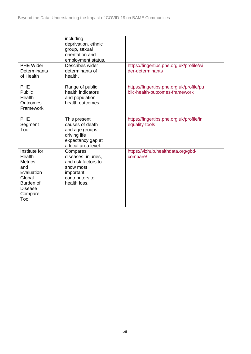| <b>PHE Wider</b><br><b>Determinants</b><br>of Health                                                                       | including<br>deprivation, ethnic<br>group, sexual<br>orientation and<br>employment status.<br>Describes wider<br>determinants of<br>health. | https://fingertips.phe.org.uk/profile/wi<br>der-determinants               |
|----------------------------------------------------------------------------------------------------------------------------|---------------------------------------------------------------------------------------------------------------------------------------------|----------------------------------------------------------------------------|
| <b>PHE</b><br>Public<br><b>Health</b><br>Outcomes<br>Framework                                                             | Range of public<br>health indicators<br>and population<br>health outcomes.                                                                  | https://fingertips.phe.org.uk/profile/pu<br>blic-health-outcomes-framework |
| <b>PHE</b><br>Segment<br>Tool                                                                                              | This present<br>causes of death<br>and age groups<br>driving life<br>expectancy gap at<br>a local area level.                               | https://fingertips.phe.org.uk/profile/in<br>equality-tools                 |
| Institute for<br>Health<br><b>Metrics</b><br>and<br>Evaluation<br>Global<br>Burden of<br><b>Disease</b><br>Compare<br>Tool | Compares<br>diseases, injuries,<br>and risk factors to<br>show most<br>important<br>contributors to<br>health loss.                         | https://vizhub.healthdata.org/gbd-<br>compare/                             |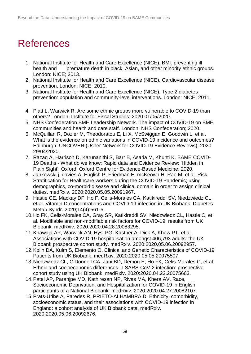# <span id="page-58-0"></span>References

- 1. National Institute for Health and Care Excellence (NICE). BMI: preventing ill health and premature death in black, Asian, and other minority ethnic groups. London: NICE; 2013.
- 2. National Institute for Health and Care Excellence (NICE). Cardiovascular disease prevention. London: NICE; 2010.
- 3. National Institute for Health and Care Excellence (NICE). Type 2 diabetes prevention: population and community-level interventions. London: NICE; 2011.
- 4. Platt L, Warwick R. Are some ethnic groups more vulnerable to COVID-19 than others? London: Institute for Fiscal Studies; 2020 01/05/2020.
- 5. NHS Confederation BME Leadership Network. The impact of COVID-19 on BME communities and health and care staff. London: NHS Confederation; 2020.
- 6. McQuillan R, Dozier M, Theodoratou E, Li X, McSwiggan E, Goodwin L, et al. What is the evidence on ethnic variations in COVID-19 incidence and outcomes? Edinburgh: UNCOVER (Usher Network for COVID-19 Evidence Reviews); 2020 29/04/2020.
- 7. Razaq A, Harrison D, Karunanithi S, Barr B, Asaria M, Khunti K. BAME COVID-19 Deaths - What do we know: Rapid data and Evidence Review: 'Hidden in Plain Sight'. Oxford: Oxford Centre for Evidence-Based Medicine; 2020.
- 8. Jankowski j, davies A, English P, Friedman E, mcKeown H, Rao M, et al. Risk Stratification for Healthcare workers during the COVID-19 Pandemic; using demographics, co-morbid disease and clinical domain in order to assign clinical duties. medRxiv. 2020:2020.05.05.20091967.
- 9. Hastie CE, Mackay DF, Ho F, Celis-Morales CA, Katikireddi SV, Niedzwiedz CL, et al. Vitamin D concentrations and COVID-19 infection in UK Biobank. Diabetes Metab Syndr. 2020;14(4):561-5.
- 10.Ho FK, Celis-Morales CA, Gray SR, Katikireddi SV, Niedzwiedz CL, Hastie C, et al. Modifiable and non-modifiable risk factors for COVID-19: results from UK Biobank. medRxiv. 2020:2020.04.28.20083295.
- 11.Khawaja AP, Warwick AN, Hysi PG, Kastner A, Dick A, Khaw PT, et al. Associations with COVID-19 hospitalisation amongst 406,793 adults: the UK Biobank prospective cohort study. medRxiv. 2020:2020.05.06.20092957.
- 12.Kolin DA, Kulm S, Elemento O. Clinical and Genetic Characteristics of COVID-19 Patients from UK Biobank. medRxiv. 2020:2020.05.05.20075507.
- 13.Niedzwiedz CL, O'Donnell CA, Jani BD, Demou E, Ho FK, Celis-Morales C, et al. Ethnic and socioeconomic differences in SARS-CoV-2 infection: prospective cohort study using UK Biobank. medRxiv. 2020:2020.04.22.20075663.
- 14.Patel AP, Paranjpe MD, Kathiresan NP, Rivas MA, Khera AV. Race, Socioeconomic Deprivation, and Hospitalization for COVID-19 in English participants of a National Biobank. medRxiv. 2020:2020.04.27.20082107.
- 15.Prats-Uribe A, Paredes R, PRIETO-ALHAMBRA D. Ethnicity, comorbidity, socioeconomic status, and their associations with COVID-19 infection in England: a cohort analysis of UK Biobank data. medRxiv. 2020:2020.05.06.20092676.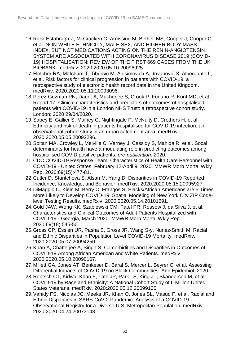- 16.Raisi-Estabragh Z, McCracken C, Ardissino M, Bethell MS, Cooper J, Cooper C, et al. NON-WHITE ETHNICITY, MALE SEX, AND HIGHER BODY MASS INDEX, BUT NOT MEDICATIONS ACTING ON THE RENIN-ANGIOTENSIN SYSTEM ARE ASSOCIATED WITH CORONAVIRUS DISEASE 2019 (COVID-19) HOSPITALISATION: REVIEW OF THE FIRST 669 CASES FROM THE UK BIOBANK. medRxiv. 2020:2020.05.10.20096925.
- 17.Fletcher RA, Matcham T, Tibúrcio M, Anisimovich A, Jovanović S, Albergante L, et al. Risk factors for clinical progression in patients with COVID-19: a retrospective study of electronic health record data in the United Kingdom. medRxiv. 2020:2020.05.11.20093096.
- 18.Perez-Guzman PN, Daunt A, Mukherjee S, Crook P, Forlano R, Kont MD, et al. Report 17: Clinical characteristics and predictors of outcomes of hospitalised patients with COVID-19 in a London NHS Trust: a retrospective cohort study. London; 2020 29/04/2020.
- 19.Sapey E, Gallier S, Mainey C, Nightingale P, McNulty D, Crothers H, et al. Ethnicity and risk of death in patients hospitalised for COVID-19 infection: an observational cohort study in an urban catchment area. medRxiv. 2020:2020.05.05.20092296.
- 20.Soltan MA, Crowley L, Melville C, Varney J, Cassidy S, Mahida R, et al. Socal determinants for health have a modulating role in predicting outcomes among hospitalised COVID positive patients. *pre-publication*. 2020.
- 21.CDC COVID-19 Response Team. Characteristics of Health Care Personnel with COVID-19 - United States, February 12-April 9, 2020. MMWR Morb Mortal Wkly Rep. 2020;69(15):477-81.
- 22.Cutler D, Stantcheva S, Alsan M, Yang D. Disparities in COVID-19 Reported Incidence, Knowledge, and Behavior. medRxiv. 2020:2020.05.15.20095927.
- 23.DiMaggio C, Klein M, Berry C, Frangos S. Blacks/African Americans are 5 Times More Likely to Develop COVID-19: Spatial Modeling of New York City ZIP Codelevel Testing Results. medRxiv. 2020:2020.05.14.20101691.
- 24.Gold JAW, Wong KK, Szablewski CM, Patel PR, Rossow J, da Silva J, et al. Characteristics and Clinical Outcomes of Adult Patients Hospitalized with COVID-19 - Georgia, March 2020. MMWR Morb Mortal Wkly Rep. 2020;69(18):545-50.
- 25.Gross CP, Essien UR, Pasha S, Gross JR, Wang S-y, Nunez-Smith M. Racial and Ethnic Disparities in Population Level COVID-19 Mortality. medRxiv. 2020:2020.05.07.20094250.
- 26.Khan A, Chatterjee A, Singh S. Comorbidities and Disparities in Outcomes of COVID-19 Among African American and White Patients. medRxiv. 2020:2020.05.10.20090167.
- 27.Millett GA, Jones AT, Benkeser D, Baral S, Mercer L, Beyrer C, et al. Assessing Differential Impacts of COVID-19 on Black Communities. Ann Epidemiol. 2020.
- 28.Rentsch CT, Kidwai-Khan F, Tate JP, Park LS, King JT, Skanderson M, et al. COVID-19 by Race and Ethnicity: A National Cohort Study of 6 Million United States Veterans. medRxiv. 2020:2020.05.12.20099135.
- 29.Vahidy FS, Nicolas JC, Meeks JR, Khan O, Jones SL, Masud F, et al. Racial and Ethnic Disparities in SARS-CoV-2 Pandemic: Analysis of a COVID-19 Observational Registry for a Diverse U.S. Metropolitan Population. medRxiv. 2020:2020.04.24.20073148.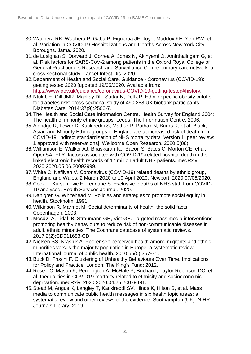- 30.Wadhera RK, Wadhera P, Gaba P, Figueroa JF, Joynt Maddox KE, Yeh RW, et al. Variation in COVID-19 Hospitalizations and Deaths Across New York City Boroughs. Jama. 2020.
- 31.de Lusignan S, Dorward J, Correa A, Jones N, Akinyemi O, Amirthalingam G, et al. Risk factors for SARS-CoV-2 among patients in the Oxford Royal College of General Practitioners Research and Surveillance Centre primary care network: a cross-sectional study. Lancet Infect Dis. 2020.
- 32.Department of Health and Social Care. Guidance Coronavirus (COVID-19): getting tested 2020 [updated 19/05/2020. Available from: [https://www.gov.uk/guidance/coronavirus-COVID-19-getting-tested#history.](https://www.gov.uk/guidance/coronavirus-covid-19-getting-tested#history)
- 33.Ntuk UE, Gill JMR, Mackay DF, Sattar N, Pell JP. Ethnic-specific obesity cutoffs for diabetes risk: cross-sectional study of 490,288 UK biobank participants. Diabetes Care. 2014;37(9):2500-7.
- 34.The Health and Social Care Information Centre. Health Survey for England 2004: The health of minority ethnic groups. Leeds: The Information Centre; 2006.
- 35.Aldridge R, Lewer D, Katikireddi S, Mathur R, Pathak N, Burns R, et al. Black, Asian and Minority Ethnic groups in England are at increased risk of death from COVID-19: indirect standardisation of NHS mortality data [version 1; peer review: 1 approved with reservations]. Wellcome Open Research. 2020;5(88).
- 36.Williamson E, Walker AJ, Bhaskaran KJ, Bacon S, Bates C, Morton CE, et al. OpenSAFELY: factors associated with COVID-19-related hospital death in the linked electronic health records of 17 million adult NHS patients. medRxiv. 2020:2020.05.06.20092999.
- 37.White C, Nafilyan V. Coronavirus (COVID-19) related deaths by ethnic group, England and Wales: 2 March 2020 to 10 April 2020. Newport; 2020 07/05/2020.
- 38.Cook T, Kursumovic E, Lennane S. Exclusive: deaths of NHS staff from COVID-19 analysed. Health Services Journal. 2020.
- 39.Dahlgren G, Whitehead M. Policies and strategies to promote social equity in health. Stockholm; 1991.
- 40.Wilkinson R, Marmot M. Social determinants of health: the solid facts. Copenhagen; 2003.
- 41.Mosdøl A, Lidal IB, Straumann GH, Vist GE. Targeted mass media interventions promoting healthy behaviours to reduce risk of non-communicable diseases in adult, ethnic minorities. The Cochrane database of systematic reviews. 2017;2(2):CD011683-CD.
- 42.Nielsen SS, Krasnik A. Poorer self-perceived health among migrants and ethnic minorities versus the majority population in Europe: a systematic review. International journal of public health. 2010;55(5):357-71.
- 43.Buck D, Frosini F. Clustering of Unhealthy Behaviours Over Time. Implications for Policy and Practice. London: The King's Fund; 2012.
- 44.Rose TC, Mason K, Pennington A, McHale P, Buchan I, Taylor-Robinson DC, et al. Inequalities in COVID19 mortality related to ethnicity and socioeconomic deprivation. medRxiv. 2020:2020.04.25.20079491.
- 45.Stead M, Angus K, Langley T, Katikireddi SV, Hinds K, Hilton S, et al. Mass media to communicate public health messages in six health topic areas: a systematic review and other reviews of the evidence. Southampton (UK): NIHR Journals Library; 2019.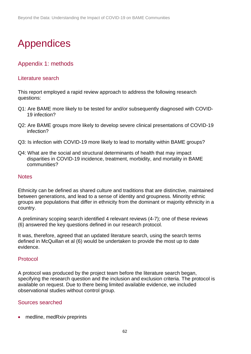# <span id="page-61-0"></span>Appendices

# Appendix 1: methods

#### Literature search

This report employed a rapid review approach to address the following research questions:

- Q1: Are BAME more likely to be tested for and/or subsequently diagnosed with COVID-19 infection?
- Q2: Are BAME groups more likely to develop severe clinical presentations of COVID-19 infection?
- Q3: Is infection with COVID-19 more likely to lead to mortality within BAME groups?
- Q4: What are the social and structural determinants of health that may impact disparities in COVID-19 incidence, treatment, morbidity, and mortality in BAME communities?

#### **Notes**

Ethnicity can be defined as shared culture and traditions that are distinctive, maintained between generations, and lead to a sense of identity and groupness. Minority ethnic groups are populations that differ in ethnicity from the dominant or majority ethnicity in a country.

A preliminary scoping search identified 4 relevant reviews (4-7); one of these reviews (6) answered the key questions defined in our research protocol.

It was, therefore, agreed that an updated literature search, using the search terms defined in McQuillan et al (6) would be undertaken to provide the most up to date evidence.

#### Protocol

A protocol was produced by the project team before the literature search began, specifying the research question and the inclusion and exclusion criteria. The protocol is available on request. Due to there being limited available evidence, we included observational studies without control group.

#### Sources searched

medline, medRxiv preprints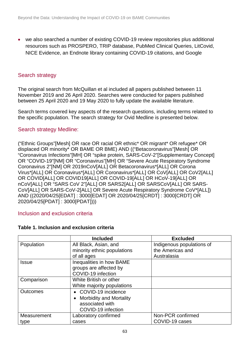• we also searched a number of existing COVID-19 review repositories plus additional resources such as PROSPERO, TRIP database, PubMed Clinical Queries, LitCovid, NICE Evidence, an Endnote library containing COVID-19 citations, and Google

#### Search strategy

The original search from McQuillan et al included all papers published between 11 November 2019 and 26 April 2020. Searches were conducted for papers published between 25 April 2020 and 19 May 2020 to fully update the available literature.

Search terms covered key aspects of the research questions, including terms related to the specific population. The search strategy for Ovid Medline is presented below.

#### Search strategy Medline:

("Ethnic Groups"[Mesh] OR race OR racial OR ethnic\* OR migrant\* OR refugee\* OR displaced OR minority\* OR BAME OR BME) AND (("Betacoronavirus"[Mesh] OR "Coronavirus Infections"[MH] OR "spike protein, SARS-CoV-2"[Supplementary Concept] OR "COVID-19"[NM] OR "Coronavirus"[MH] OR "Severe Acute Respiratory Syndrome Coronavirus 2"[NM] OR 2019nCoV[ALL] OR Betacoronavirus\*[ALL] OR Corona Virus\*[ALL] OR Coronavirus\*[ALL] OR Coronavirus\*[ALL] OR CoV[ALL] OR CoV2[ALL] OR COVID[ALL] OR COVID19[ALL] OR COVID-19[ALL] OR HCoV-19[ALL] OR nCoV[ALL] OR "SARS CoV 2"[ALL] OR SARS2[ALL] OR SARSCoV[ALL] OR SARS-CoV[ALL] OR SARS-CoV-2[ALL] OR Severe Acute Respiratory Syndrome CoV\*[ALL]) AND ((2020/04/25[EDAT] : 3000[EDAT] OR 2020/04/25[CRDT] : 3000[CRDT] OR 2020/04/25[PDAT] : 3000[PDAT])))

#### Inclusion and exclusion criteria

| Table 1. Inclusion and exclusion criteria |  |  |  |
|-------------------------------------------|--|--|--|
|-------------------------------------------|--|--|--|

|                 | <b>Included</b>                | <b>Excluded</b>           |
|-----------------|--------------------------------|---------------------------|
| Population      | All Black, Asian, and          | Indigenous populations of |
|                 | minority ethnic populations    | the Americas and          |
|                 | of all ages                    | Australasia               |
| <b>Issue</b>    | Inequalities in how BAME       |                           |
|                 | groups are affected by         |                           |
|                 | COVID-19 infection             |                           |
| Comparison      | White British or other         |                           |
|                 | White majority populations     |                           |
| <b>Outcomes</b> | • COVID-19 incidence           |                           |
|                 | <b>Morbidity and Mortality</b> |                           |
|                 | associated with                |                           |
|                 | COVID-19 infection             |                           |
| Measurement     | Laboratory confirmed           | Non-PCR confirmed         |
| type            | cases                          | COVID-19 cases            |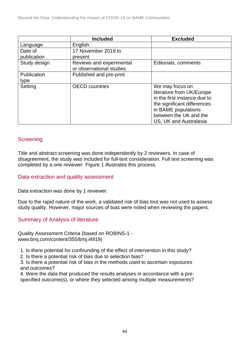|              | <b>Included</b>          | <b>Excluded</b>              |
|--------------|--------------------------|------------------------------|
| Language     | English                  |                              |
| Date of      | 17 November 2019 to      |                              |
| publication  | present                  |                              |
| Study design | Reviews and experimental | Editorials, comments         |
|              | or observational studies |                              |
| Publication  | Published and pre-print  |                              |
| type         |                          |                              |
| Setting      | <b>OECD</b> countries    | We may focus on              |
|              |                          | literature from UK/Europe    |
|              |                          | in the first instance due to |
|              |                          | the significant differences  |
|              |                          | in BAME populations          |
|              |                          | between the UK and the       |
|              |                          | US, UK and Australasia       |

#### **Screening**

Title and abstract screening was done independently by 2 reviewers. In case of disagreement, the study was included for full-text consideration. Full text screening was completed by a one reviewer. Figure 1 illustrates this process.

#### Data extraction and quality assessment

Data extraction was done by 1 reviewer.

Due to the rapid nature of the work, a validated risk of bias tool was not used to assess study quality. However, major sources of bias were noted when reviewing the papers.

#### Summary of Analysis of literature

Quality Assessment Criteria (based on ROBINS-1 www.bmj.com/content/355/bmj.i4919)

1. Is there potential for confounding of the effect of intervention in this study?

2. Is there a potential risk of bias due to selection bias?

3. Is there a potential risk of bias in the methods used to ascertain exposures and outcomes?

4. Were the data that produced the results analyses in accordance with a prespecified outcome(s), or where they selected among multiple measurements?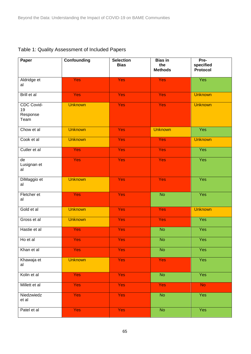| Paper                                | <b>Confounding</b> | <b>Selection</b><br><b>Bias</b> | <b>Bias in</b><br>the<br><b>Methods</b> | Pre-<br>specified<br>Protocol |
|--------------------------------------|--------------------|---------------------------------|-----------------------------------------|-------------------------------|
| Aldridge et<br>al                    | <b>Yes</b>         | <b>Yes</b>                      | <b>Yes</b>                              | Yes                           |
| Brill et al                          | <b>Yes</b>         | <b>Yes</b>                      | <b>Yes</b>                              | <b>Unknown</b>                |
| CDC Covid-<br>19<br>Response<br>Team | <b>Unknown</b>     | <b>Yes</b>                      | <b>Yes</b>                              | <b>Unknown</b>                |
| Chow et al                           | <b>Unknown</b>     | <b>Yes</b>                      | <b>Unknown</b>                          | Yes                           |
| Cook et al                           | <b>Unknown</b>     | <b>Yes</b>                      | <b>Yes</b>                              | <b>Unknown</b>                |
| Cutler et al                         | <b>Yes</b>         | <b>Yes</b>                      | <b>Yes</b>                              | Yes                           |
| de<br>Lusignan et<br>al              | <b>Yes</b>         | <b>Yes</b>                      | <b>Yes</b>                              | Yes                           |
| DiMaggio et<br>al                    | <b>Unknown</b>     | <b>Yes</b>                      | <b>Yes</b>                              | Yes                           |
| Fletcher et<br>al                    | <b>Yes</b>         | <b>Yes</b>                      | <b>No</b>                               | Yes                           |
| Gold et al                           | <b>Unknown</b>     | <b>Yes</b>                      | Yes                                     | <b>Unknown</b>                |
| Gross et al                          | <b>Unknown</b>     | <b>Yes</b>                      | <b>Yes</b>                              | Yes                           |
| Hastie et al                         | <b>Yes</b>         | <b>Yes</b>                      | <b>No</b>                               | Yes                           |
| Ho et al                             | <b>Yes</b>         | <b>Yes</b>                      | <b>No</b>                               | Yes                           |
| Khan et al                           | <b>Yes</b>         | <b>Yes</b>                      | <b>No</b>                               | Yes                           |
| Khawaja et<br>al                     | <b>Unknown</b>     | <b>Yes</b>                      | <b>Yes</b>                              | Yes                           |
| Kolin et al                          | <b>Yes</b>         | <b>Yes</b>                      | <b>No</b>                               | Yes                           |
| Millett et al                        | <b>Yes</b>         | <b>Yes</b>                      | Yes                                     | <b>No</b>                     |
| Niedzwiedz<br>et al                  | <b>Yes</b>         | <b>Yes</b>                      | $\overline{N}$                          | Yes                           |
| Patel et al                          | <b>Yes</b>         | <b>Yes</b>                      | $\overline{N}$                          | Yes                           |

| Table 1: Quality Assessment of Included Papers |  |  |
|------------------------------------------------|--|--|
|------------------------------------------------|--|--|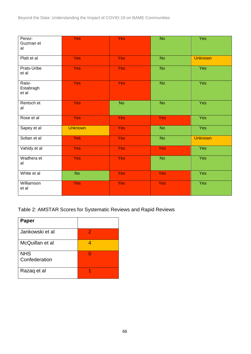| Perez-<br>Guzman et<br>al    | <b>Yes</b>     | <b>Yes</b> | <b>No</b>  | Yes            |
|------------------------------|----------------|------------|------------|----------------|
| Platt et al                  | <b>Yes</b>     | <b>Yes</b> | <b>No</b>  | <b>Unknown</b> |
| Prats-Uribe<br>et al         | <b>Yes</b>     | <b>Yes</b> | <b>No</b>  | Yes            |
| Raisi-<br>Estabragh<br>et al | <b>Yes</b>     | <b>Yes</b> | <b>No</b>  | Yes            |
| Rentsch et<br>al             | <b>Yes</b>     | <b>No</b>  | <b>No</b>  | Yes            |
| Rose et al                   | <b>Yes</b>     | <b>Yes</b> | <b>Yes</b> | Yes            |
| Sapey et al                  | <b>Unknown</b> | <b>Yes</b> | <b>No</b>  | Yes            |
| Soltan et al                 | <b>Yes</b>     | <b>Yes</b> | <b>No</b>  | <b>Unknown</b> |
| Vahidy et al                 | <b>Yes</b>     | <b>Yes</b> | <b>Yes</b> | Yes            |
| Wadhera et<br>al             | <b>Yes</b>     | <b>Yes</b> | <b>No</b>  | Yes            |
| White et al                  | <b>No</b>      | <b>Yes</b> | <b>Yes</b> | Yes            |
| Williamson<br>et al          | <b>Yes</b>     | <b>Yes</b> | <b>Yes</b> | Yes            |

Table 2: AMSTAR Scores for Systematic Reviews and Rapid Reviews

| <b>Paper</b>    |   |
|-----------------|---|
| Jankowski et al | 2 |
| McQuillan et al |   |
| <b>NHS</b>      |   |
| Confederation   |   |
| Razag et al     |   |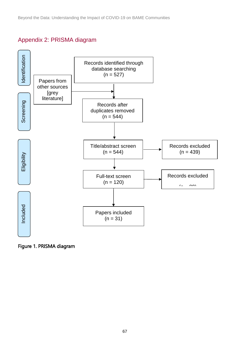# Appendix 2: PRISMA diagram

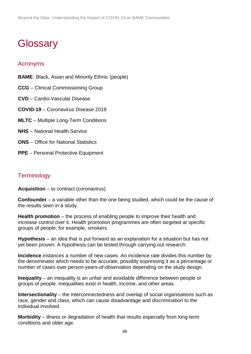# <span id="page-67-0"></span>**Glossary**

### Acronyms

- **BAME** Black, Asian and Minority Ethnic (people)
- **CCG** Clinical Commissioning Group
- **CVD** Cardio-Vascular Disease
- **COVID-19** Coronavirus Disease 2019
- **MLTC** Multiple Long-Term Conditions
- **NHS** National Health Service
- **ONS** Office for National Statistics
- **PPE** Personal Protective Equipment

# **Terminology**

**Acquisition** – to contract (coronavirus)

**Confounder** – a variable other than the one being studied, which could be the cause of the results seen in a study.

**Health promotion** – the process of enabling people to improve their health and increase control over it. Health promotion programmes are often targeted at specific groups of people; for example, smokers.

**Hypothesis** – an idea that is put forward as an explanation for a situation but has not yet been proven. A hypothesis can be tested through carrying out research.

**Incidence** instances a number of new cases. An incidence rate divides this number by the denominator which needs to be accurate, possibly expressing it as a percentage or number of cases over person-years-of-observation depending on the study design.

**Inequality** – an inequality is an unfair and avoidable difference between people or groups of people. Inequalities exist in health, income, and other areas.

**Intersectionality** – the interconnectedness and overlap of social organisations such as race, gender and class, which can cause disadvantage and discrimination to the individual involved.

**Morbidity** – illness or degradation of health that results especially from long-term conditions and older age.